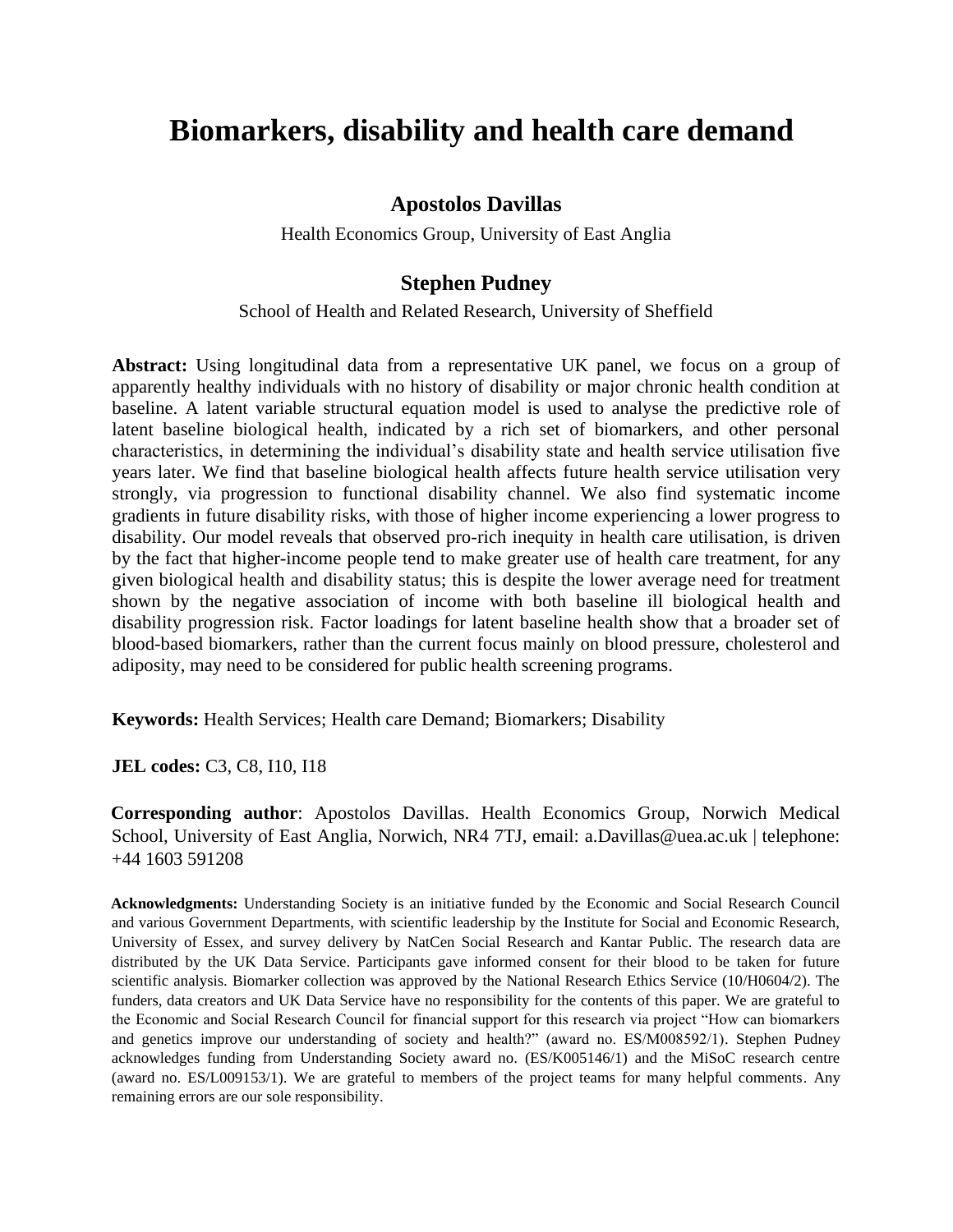# **Biomarkers, disability and health care demand**

## **Apostolos Davillas**

Health Economics Group, University of East Anglia

# **Stephen Pudney**

School of Health and Related Research, University of Sheffield

**Abstract:** Using longitudinal data from a representative UK panel, we focus on a group of apparently healthy individuals with no history of disability or major chronic health condition at baseline. A latent variable structural equation model is used to analyse the predictive role of latent baseline biological health, indicated by a rich set of biomarkers, and other personal characteristics, in determining the individual's disability state and health service utilisation five years later. We find that baseline biological health affects future health service utilisation very strongly, via progression to functional disability channel. We also find systematic income gradients in future disability risks, with those of higher income experiencing a lower progress to disability. Our model reveals that observed pro-rich inequity in health care utilisation, is driven by the fact that higher-income people tend to make greater use of health care treatment, for any given biological health and disability status; this is despite the lower average need for treatment shown by the negative association of income with both baseline ill biological health and disability progression risk. Factor loadings for latent baseline health show that a broader set of blood-based biomarkers, rather than the current focus mainly on blood pressure, cholesterol and adiposity, may need to be considered for public health screening programs.

**Keywords:** Health Services; Health care Demand; Biomarkers; Disability

**JEL codes:** C3, C8, I10, I18

**Corresponding author**: Apostolos Davillas. Health Economics Group, Norwich Medical School, University of East Anglia, Norwich, NR4 7TJ, email: a.Davillas@uea.ac.uk | telephone: +44 1603 591208

**Acknowledgments:** Understanding Society is an initiative funded by the Economic and Social Research Council and various Government Departments, with scientific leadership by the Institute for Social and Economic Research, University of Essex, and survey delivery by NatCen Social Research and Kantar Public. The research data are distributed by the UK Data Service. Participants gave informed consent for their blood to be taken for future scientific analysis. Biomarker collection was approved by the National Research Ethics Service (10/H0604/2). The funders, data creators and UK Data Service have no responsibility for the contents of this paper. We are grateful to the Economic and Social Research Council for financial support for this research via project "How can biomarkers and genetics improve our understanding of society and health?" (award no. ES/M008592/1). Stephen Pudney acknowledges funding from Understanding Society award no. (ES/K005146/1) and the MiSoC research centre (award no. ES/L009153/1). We are grateful to members of the project teams for many helpful comments. Any remaining errors are our sole responsibility.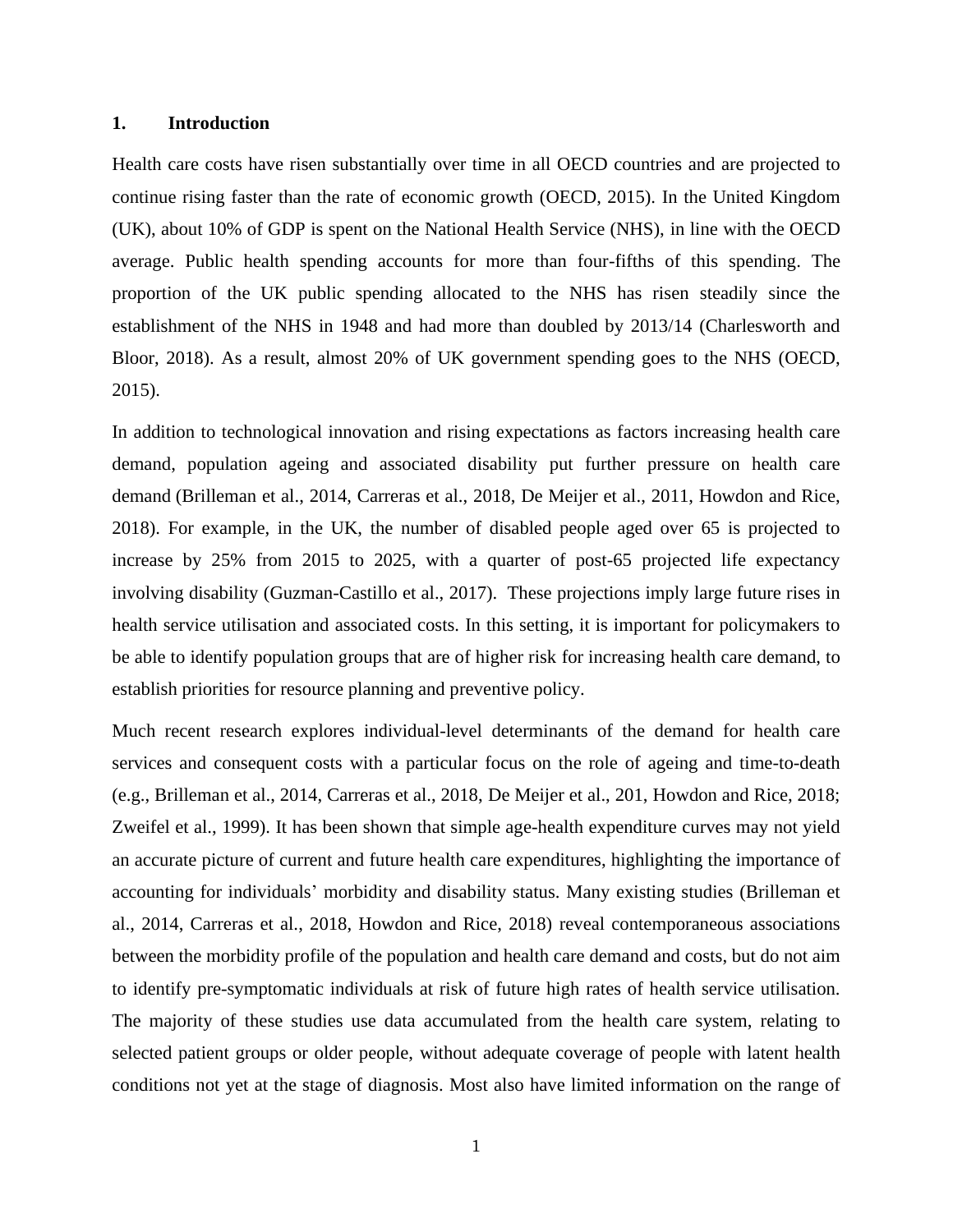#### **1. Introduction**

Health care costs have risen substantially over time in all OECD countries and are projected to continue rising faster than the rate of economic growth (OECD, 2015). In the United Kingdom (UK), about 10% of GDP is spent on the National Health Service (NHS), in line with the OECD average. Public health spending accounts for more than four-fifths of this spending. The proportion of the UK public spending allocated to the NHS has risen steadily since the establishment of the NHS in 1948 and had more than doubled by 2013/14 (Charlesworth and Bloor, 2018). As a result, almost 20% of UK government spending goes to the NHS (OECD, 2015).

In addition to technological innovation and rising expectations as factors increasing health care demand, population ageing and associated disability put further pressure on health care demand (Brilleman et al., 2014, Carreras et al., 2018, De Meijer et al., 2011, Howdon and Rice, 2018). For example, in the UK, the number of disabled people aged over 65 is projected to increase by 25% from 2015 to 2025, with a quarter of post-65 projected life expectancy involving disability (Guzman-Castillo et al., 2017). These projections imply large future rises in health service utilisation and associated costs. In this setting, it is important for policymakers to be able to identify population groups that are of higher risk for increasing health care demand, to establish priorities for resource planning and preventive policy.

Much recent research explores individual-level determinants of the demand for health care services and consequent costs with a particular focus on the role of ageing and time-to-death (e.g., Brilleman et al., 2014, Carreras et al., 2018, De Meijer et al., 201, Howdon and Rice, 2018; Zweifel et al., 1999). It has been shown that simple age-health expenditure curves may not yield an accurate picture of current and future health care expenditures, highlighting the importance of accounting for individuals' morbidity and disability status. Many existing studies (Brilleman et al., 2014, Carreras et al., 2018, Howdon and Rice, 2018) reveal contemporaneous associations between the morbidity profile of the population and health care demand and costs, but do not aim to identify pre-symptomatic individuals at risk of future high rates of health service utilisation. The majority of these studies use data accumulated from the health care system, relating to selected patient groups or older people, without adequate coverage of people with latent health conditions not yet at the stage of diagnosis. Most also have limited information on the range of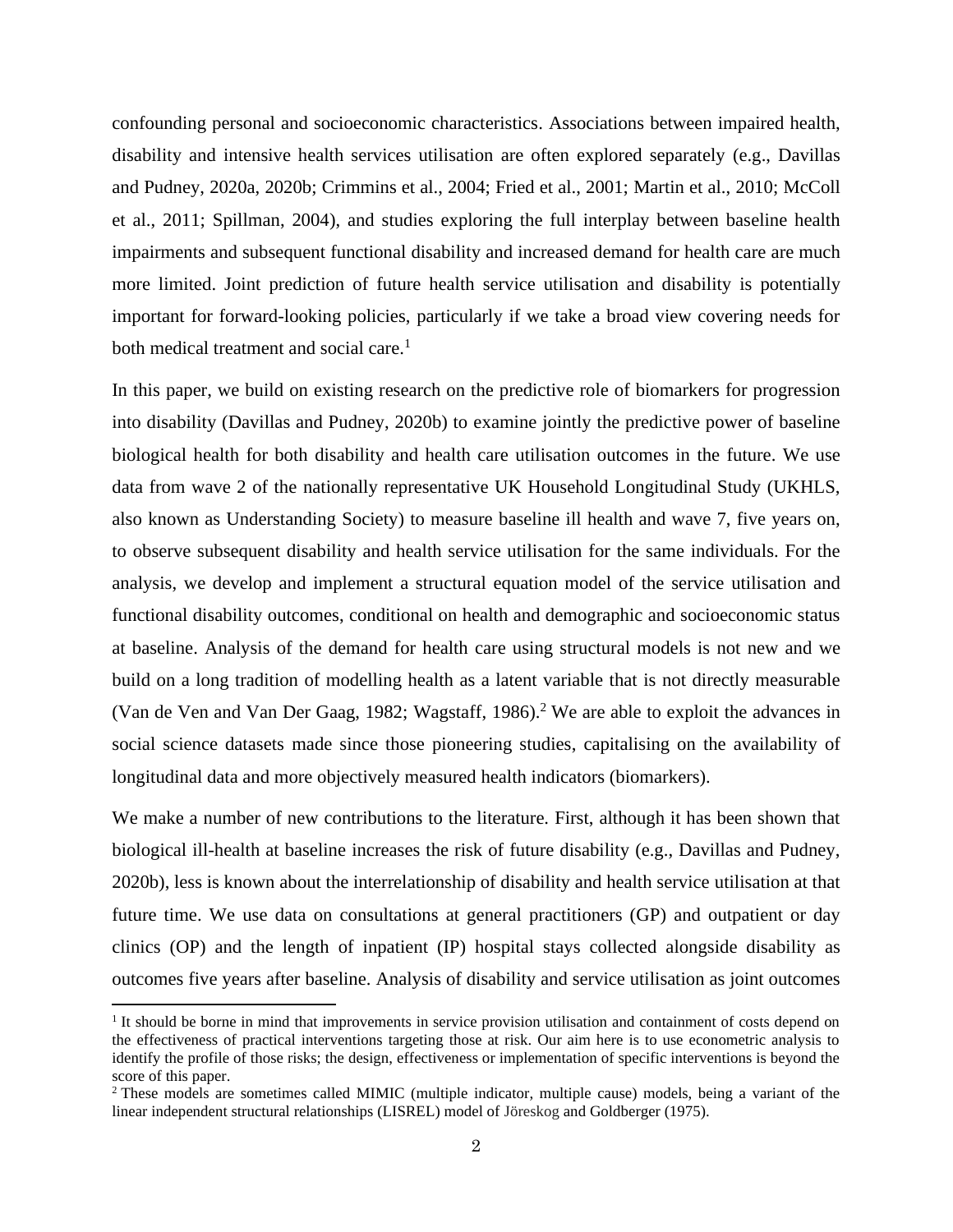confounding personal and socioeconomic characteristics. Associations between impaired health, disability and intensive health services utilisation are often explored separately (e.g., Davillas and Pudney, 2020a, 2020b; Crimmins et al., 2004; Fried et al., 2001; Martin et al., 2010; McColl et al., 2011; Spillman, 2004), and studies exploring the full interplay between baseline health impairments and subsequent functional disability and increased demand for health care are much more limited. Joint prediction of future health service utilisation and disability is potentially important for forward-looking policies, particularly if we take a broad view covering needs for both medical treatment and social care.<sup>1</sup>

In this paper, we build on existing research on the predictive role of biomarkers for progression into disability (Davillas and Pudney, 2020b) to examine jointly the predictive power of baseline biological health for both disability and health care utilisation outcomes in the future. We use data from wave 2 of the nationally representative UK Household Longitudinal Study (UKHLS, also known as Understanding Society) to measure baseline ill health and wave 7, five years on, to observe subsequent disability and health service utilisation for the same individuals. For the analysis, we develop and implement a structural equation model of the service utilisation and functional disability outcomes, conditional on health and demographic and socioeconomic status at baseline. Analysis of the demand for health care using structural models is not new and we build on a long tradition of modelling health as a latent variable that is not directly measurable (Van de Ven and Van Der Gaag, 1982; Wagstaff, 1986).<sup>2</sup> We are able to exploit the advances in social science datasets made since those pioneering studies, capitalising on the availability of longitudinal data and more objectively measured health indicators (biomarkers).

We make a number of new contributions to the literature. First, although it has been shown that biological ill-health at baseline increases the risk of future disability (e.g., Davillas and Pudney, 2020b), less is known about the interrelationship of disability and health service utilisation at that future time. We use data on consultations at general practitioners (GP) and outpatient or day clinics (OP) and the length of inpatient (IP) hospital stays collected alongside disability as outcomes five years after baseline. Analysis of disability and service utilisation as joint outcomes

<sup>&</sup>lt;sup>1</sup> It should be borne in mind that improvements in service provision utilisation and containment of costs depend on the effectiveness of practical interventions targeting those at risk. Our aim here is to use econometric analysis to identify the profile of those risks; the design, effectiveness or implementation of specific interventions is beyond the score of this paper.

<sup>&</sup>lt;sup>2</sup> These models are sometimes called MIMIC (multiple indicator, multiple cause) models, being a variant of the linear independent structural relationships (LISREL) model of Jöreskog and Goldberger (1975).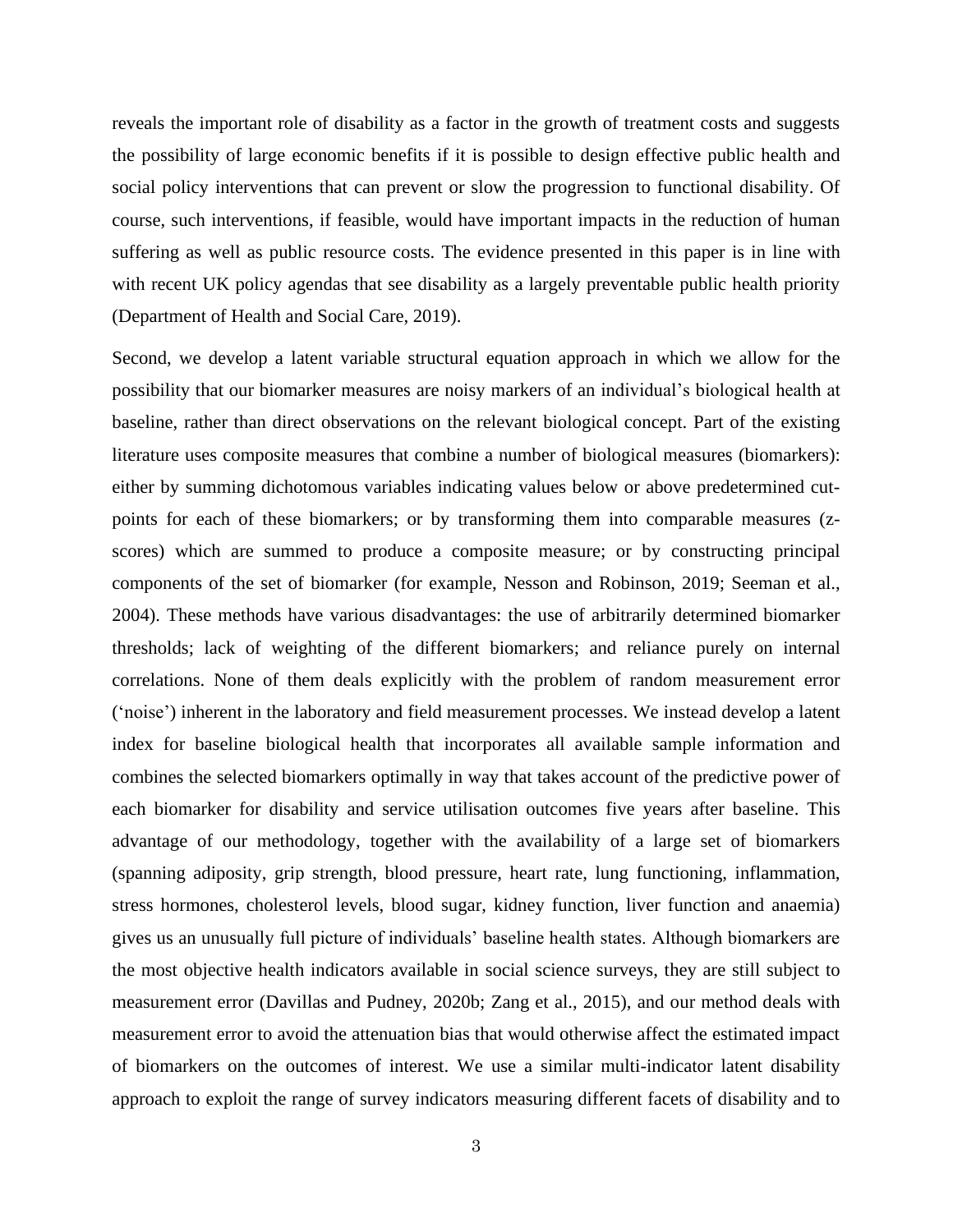reveals the important role of disability as a factor in the growth of treatment costs and suggests the possibility of large economic benefits if it is possible to design effective public health and social policy interventions that can prevent or slow the progression to functional disability. Of course, such interventions, if feasible, would have important impacts in the reduction of human suffering as well as public resource costs. The evidence presented in this paper is in line with with recent UK policy agendas that see disability as a largely preventable public health priority (Department of Health and Social Care, 2019).

Second, we develop a latent variable structural equation approach in which we allow for the possibility that our biomarker measures are noisy markers of an individual's biological health at baseline, rather than direct observations on the relevant biological concept. Part of the existing literature uses composite measures that combine a number of biological measures (biomarkers): either by summing dichotomous variables indicating values below or above predetermined cutpoints for each of these biomarkers; or by transforming them into comparable measures (zscores) which are summed to produce a composite measure; or by constructing principal components of the set of biomarker (for example, Nesson and Robinson, 2019; Seeman et al., 2004). These methods have various disadvantages: the use of arbitrarily determined biomarker thresholds; lack of weighting of the different biomarkers; and reliance purely on internal correlations. None of them deals explicitly with the problem of random measurement error ('noise') inherent in the laboratory and field measurement processes. We instead develop a latent index for baseline biological health that incorporates all available sample information and combines the selected biomarkers optimally in way that takes account of the predictive power of each biomarker for disability and service utilisation outcomes five years after baseline. This advantage of our methodology, together with the availability of a large set of biomarkers (spanning adiposity, grip strength, blood pressure, heart rate, lung functioning, inflammation, stress hormones, cholesterol levels, blood sugar, kidney function, liver function and anaemia) gives us an unusually full picture of individuals' baseline health states. Although biomarkers are the most objective health indicators available in social science surveys, they are still subject to measurement error (Davillas and Pudney, 2020b; Zang et al., 2015), and our method deals with measurement error to avoid the attenuation bias that would otherwise affect the estimated impact of biomarkers on the outcomes of interest. We use a similar multi-indicator latent disability approach to exploit the range of survey indicators measuring different facets of disability and to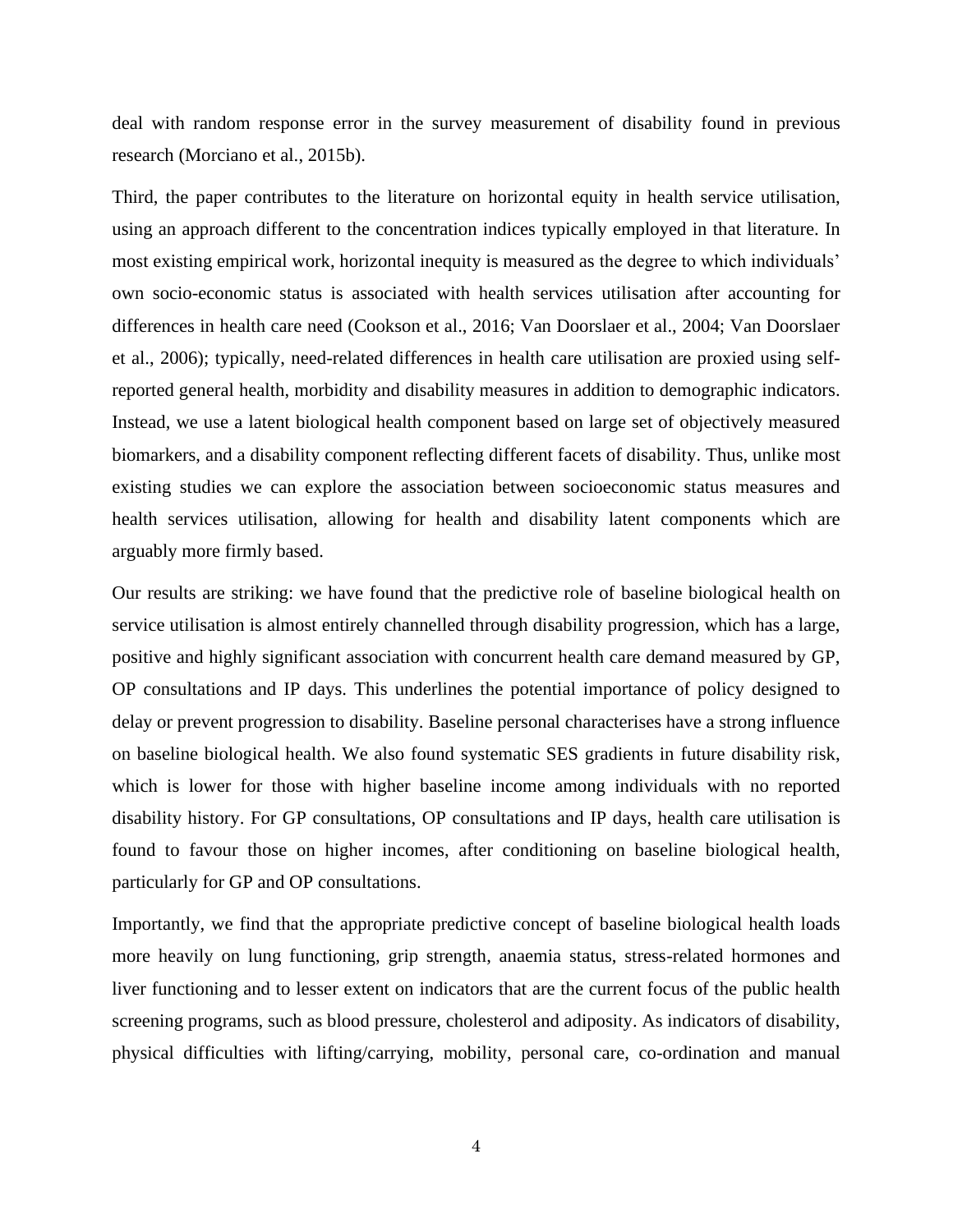deal with random response error in the survey measurement of disability found in previous research (Morciano et al., 2015b).

Third, the paper contributes to the literature on horizontal equity in health service utilisation, using an approach different to the concentration indices typically employed in that literature. In most existing empirical work, horizontal inequity is measured as the degree to which individuals' own socio-economic status is associated with health services utilisation after accounting for differences in health care need (Cookson et al., 2016; Van Doorslaer et al., 2004; Van Doorslaer et al., 2006); typically, need-related differences in health care utilisation are proxied using selfreported general health, morbidity and disability measures in addition to demographic indicators. Instead, we use a latent biological health component based on large set of objectively measured biomarkers, and a disability component reflecting different facets of disability. Thus, unlike most existing studies we can explore the association between socioeconomic status measures and health services utilisation, allowing for health and disability latent components which are arguably more firmly based.

Our results are striking: we have found that the predictive role of baseline biological health on service utilisation is almost entirely channelled through disability progression, which has a large, positive and highly significant association with concurrent health care demand measured by GP, OP consultations and IP days. This underlines the potential importance of policy designed to delay or prevent progression to disability. Baseline personal characterises have a strong influence on baseline biological health. We also found systematic SES gradients in future disability risk, which is lower for those with higher baseline income among individuals with no reported disability history. For GP consultations, OP consultations and IP days, health care utilisation is found to favour those on higher incomes, after conditioning on baseline biological health, particularly for GP and OP consultations.

Importantly, we find that the appropriate predictive concept of baseline biological health loads more heavily on lung functioning, grip strength, anaemia status, stress-related hormones and liver functioning and to lesser extent on indicators that are the current focus of the public health screening programs, such as blood pressure, cholesterol and adiposity. As indicators of disability, physical difficulties with lifting/carrying, mobility, personal care, co-ordination and manual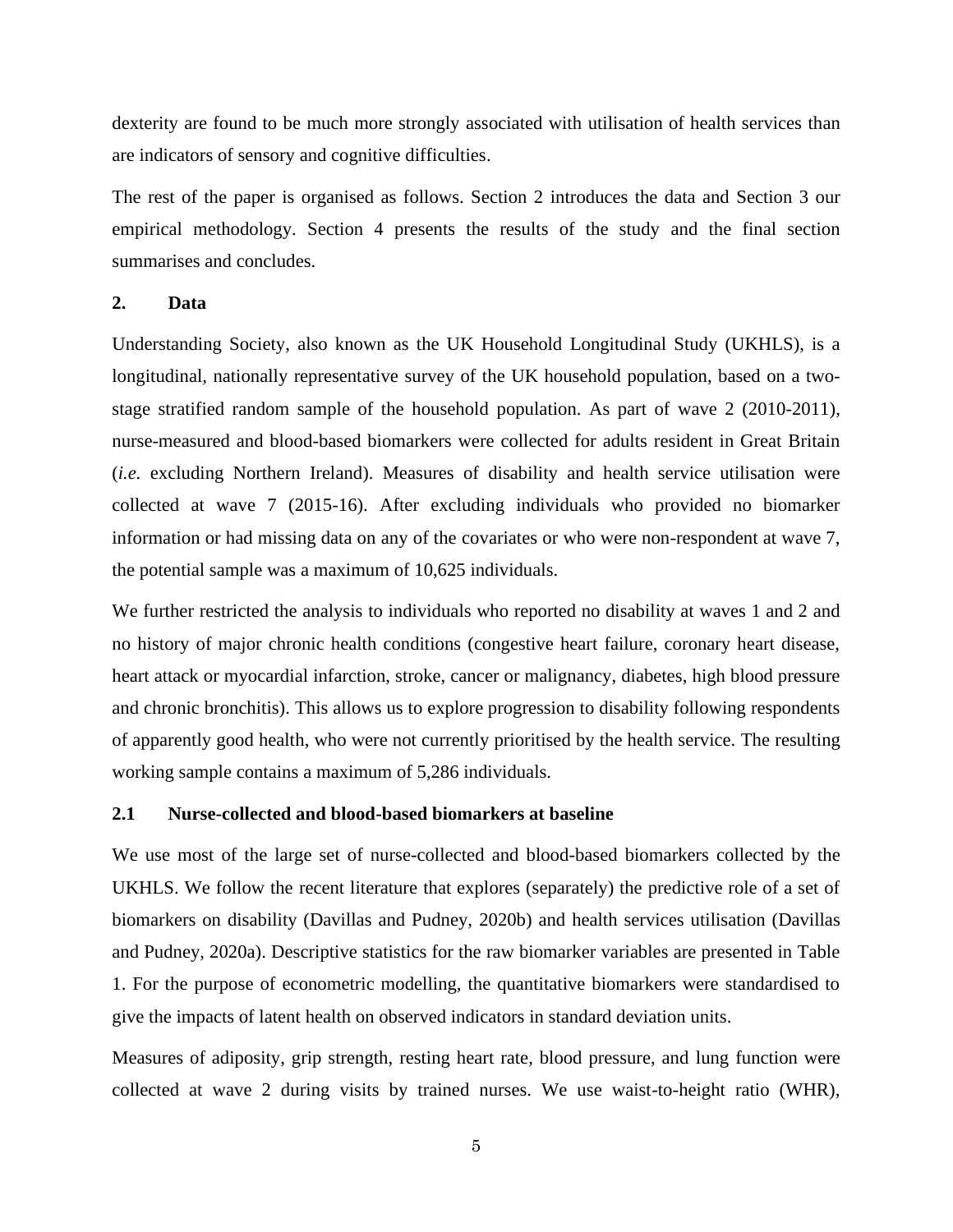dexterity are found to be much more strongly associated with utilisation of health services than are indicators of sensory and cognitive difficulties.

The rest of the paper is organised as follows. Section 2 introduces the data and Section 3 our empirical methodology. Section 4 presents the results of the study and the final section summarises and concludes.

#### **2. Data**

Understanding Society, also known as the UK Household Longitudinal Study (UKHLS), is a longitudinal, nationally representative survey of the UK household population, based on a twostage stratified random sample of the household population. As part of wave 2 (2010-2011), nurse-measured and blood-based biomarkers were collected for adults resident in Great Britain (*i.e.* excluding Northern Ireland). Measures of disability and health service utilisation were collected at wave 7 (2015-16). After excluding individuals who provided no biomarker information or had missing data on any of the covariates or who were non-respondent at wave 7, the potential sample was a maximum of 10,625 individuals.

We further restricted the analysis to individuals who reported no disability at waves 1 and 2 and no history of major chronic health conditions (congestive heart failure, coronary heart disease, heart attack or myocardial infarction, stroke, cancer or malignancy, diabetes, high blood pressure and chronic bronchitis). This allows us to explore progression to disability following respondents of apparently good health, who were not currently prioritised by the health service. The resulting working sample contains a maximum of 5,286 individuals.

#### **2.1 Nurse-collected and blood-based biomarkers at baseline**

We use most of the large set of nurse-collected and blood-based biomarkers collected by the UKHLS. We follow the recent literature that explores (separately) the predictive role of a set of biomarkers on disability (Davillas and Pudney, 2020b) and health services utilisation (Davillas and Pudney, 2020a). Descriptive statistics for the raw biomarker variables are presented in Table 1. For the purpose of econometric modelling, the quantitative biomarkers were standardised to give the impacts of latent health on observed indicators in standard deviation units.

Measures of adiposity, grip strength, resting heart rate, blood pressure, and lung function were collected at wave 2 during visits by trained nurses. We use waist-to-height ratio (WHR),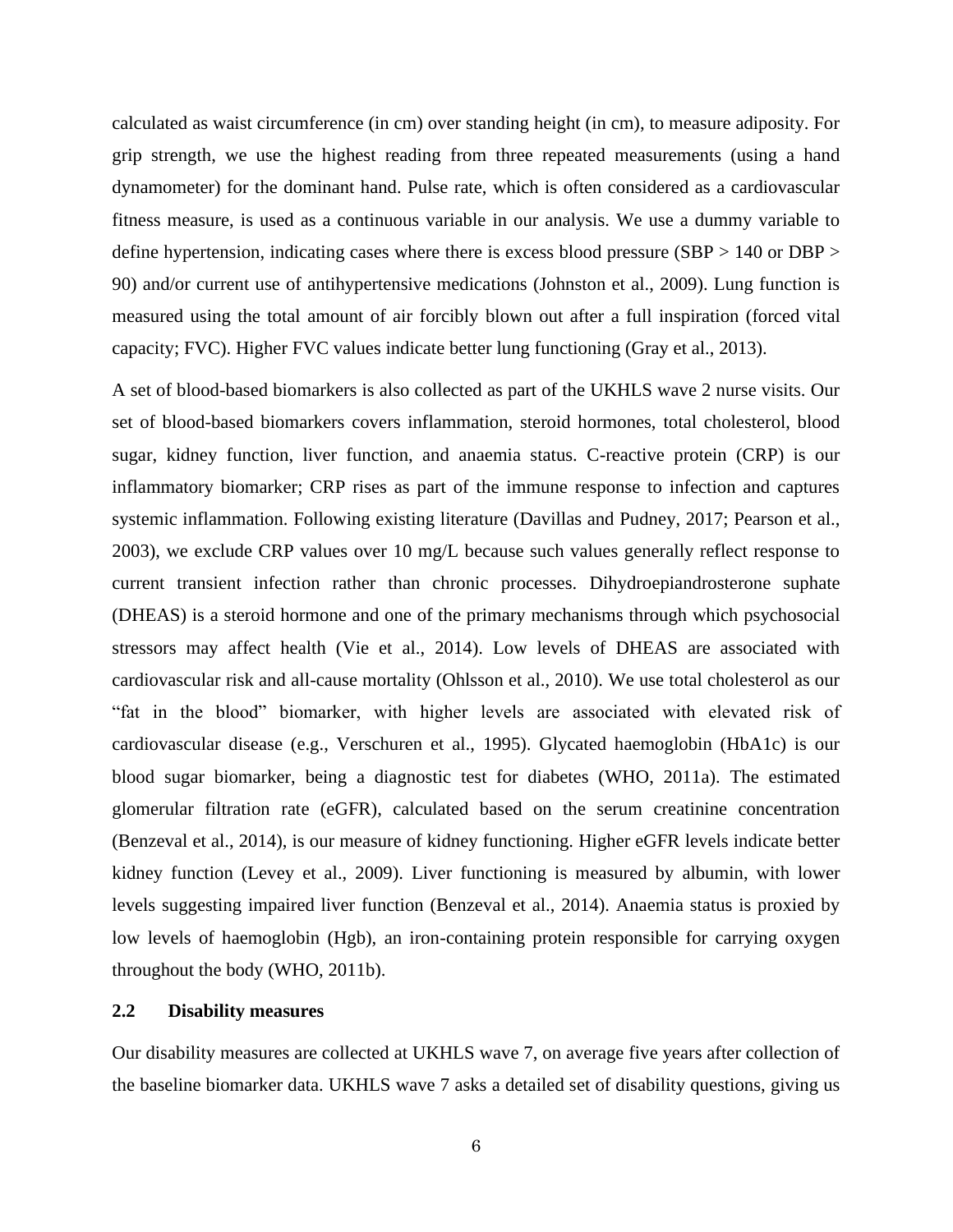calculated as waist circumference (in cm) over standing height (in cm), to measure adiposity. For grip strength, we use the highest reading from three repeated measurements (using a hand dynamometer) for the dominant hand. Pulse rate, which is often considered as a cardiovascular fitness measure, is used as a continuous variable in our analysis. We use a dummy variable to define hypertension, indicating cases where there is excess blood pressure (SBP > 140 or DBP > 90) and/or current use of antihypertensive medications (Johnston et al., 2009). Lung function is measured using the total amount of air forcibly blown out after a full inspiration (forced vital capacity; FVC). Higher FVC values indicate better lung functioning (Gray et al., 2013).

A set of blood-based biomarkers is also collected as part of the UKHLS wave 2 nurse visits. Our set of blood-based biomarkers covers inflammation, steroid hormones, total cholesterol, blood sugar, kidney function, liver function, and anaemia status. C-reactive protein (CRP) is our inflammatory biomarker; CRP rises as part of the immune response to infection and captures systemic inflammation. Following existing literature (Davillas and Pudney, 2017; Pearson et al., 2003), we exclude CRP values over 10 mg/L because such values generally reflect response to current transient infection rather than chronic processes. Dihydroepiandrosterone suphate (DHEAS) is a steroid hormone and one of the primary mechanisms through which psychosocial stressors may affect health (Vie et al., 2014). Low levels of DHEAS are associated with cardiovascular risk and all-cause mortality (Ohlsson et al., 2010). We use total cholesterol as our "fat in the blood" biomarker, with higher levels are associated with elevated risk of cardiovascular disease (e.g., Verschuren et al., 1995). Glycated haemoglobin (HbA1c) is our blood sugar biomarker, being a diagnostic test for diabetes (WHO, 2011a). The estimated glomerular filtration rate (eGFR), calculated based on the serum creatinine concentration (Benzeval et al., 2014), is our measure of kidney functioning. Higher eGFR levels indicate better kidney function (Levey et al., 2009). Liver functioning is measured by albumin, with lower levels suggesting impaired liver function (Benzeval et al., 2014). Anaemia status is proxied by low levels of haemoglobin (Hgb), an iron-containing protein responsible for carrying oxygen throughout the body (WHO, 2011b).

## **2.2 Disability measures**

Our disability measures are collected at UKHLS wave 7, on average five years after collection of the baseline biomarker data. UKHLS wave 7 asks a detailed set of disability questions, giving us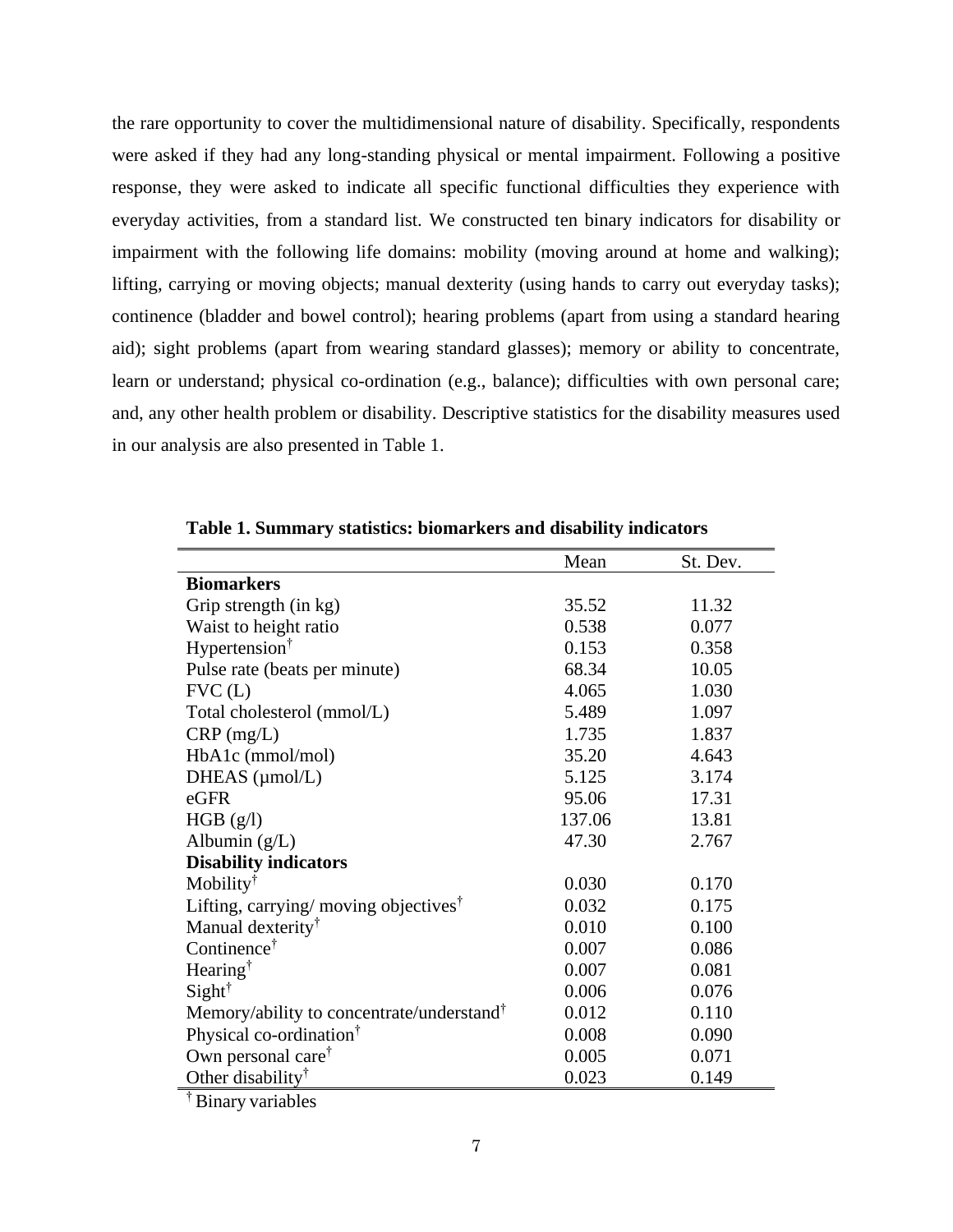the rare opportunity to cover the multidimensional nature of disability. Specifically, respondents were asked if they had any long-standing physical or mental impairment. Following a positive response, they were asked to indicate all specific functional difficulties they experience with everyday activities, from a standard list. We constructed ten binary indicators for disability or impairment with the following life domains: mobility (moving around at home and walking); lifting, carrying or moving objects; manual dexterity (using hands to carry out everyday tasks); continence (bladder and bowel control); hearing problems (apart from using a standard hearing aid); sight problems (apart from wearing standard glasses); memory or ability to concentrate, learn or understand; physical co-ordination (e.g., balance); difficulties with own personal care; and, any other health problem or disability. Descriptive statistics for the disability measures used in our analysis are also presented in Table 1.

| <b>Biomarkers</b><br>35.52<br>11.32<br>Grip strength (in kg)<br>Waist to height ratio<br>0.538<br>0.077<br>Hypertension <sup>†</sup><br>0.153<br>0.358<br>10.05<br>68.34<br>Pulse rate (beats per minute)<br>4.065<br>1.030<br>FVC(L)<br>5.489<br>1.097<br>Total cholesterol (mmol/L)<br>1.735<br>1.837<br>$CRP$ (mg/L)<br>HbA1c (mmol/mol)<br>35.20<br>4.643<br>DHEAS (µmol/L)<br>5.125<br>3.174<br>eGFR<br>95.06<br>17.31<br>HGB (g/l)<br>137.06<br>13.81 |                 | Mean  | St. Dev. |
|-------------------------------------------------------------------------------------------------------------------------------------------------------------------------------------------------------------------------------------------------------------------------------------------------------------------------------------------------------------------------------------------------------------------------------------------------------------|-----------------|-------|----------|
|                                                                                                                                                                                                                                                                                                                                                                                                                                                             |                 |       |          |
|                                                                                                                                                                                                                                                                                                                                                                                                                                                             |                 |       |          |
|                                                                                                                                                                                                                                                                                                                                                                                                                                                             |                 |       |          |
|                                                                                                                                                                                                                                                                                                                                                                                                                                                             |                 |       |          |
|                                                                                                                                                                                                                                                                                                                                                                                                                                                             |                 |       |          |
|                                                                                                                                                                                                                                                                                                                                                                                                                                                             |                 |       |          |
|                                                                                                                                                                                                                                                                                                                                                                                                                                                             |                 |       |          |
|                                                                                                                                                                                                                                                                                                                                                                                                                                                             |                 |       |          |
|                                                                                                                                                                                                                                                                                                                                                                                                                                                             |                 |       |          |
|                                                                                                                                                                                                                                                                                                                                                                                                                                                             |                 |       |          |
|                                                                                                                                                                                                                                                                                                                                                                                                                                                             |                 |       |          |
|                                                                                                                                                                                                                                                                                                                                                                                                                                                             |                 |       |          |
|                                                                                                                                                                                                                                                                                                                                                                                                                                                             | Albumin $(g/L)$ | 47.30 | 2.767    |
| <b>Disability indicators</b>                                                                                                                                                                                                                                                                                                                                                                                                                                |                 |       |          |
| Mobility <sup>†</sup><br>0.030<br>0.170                                                                                                                                                                                                                                                                                                                                                                                                                     |                 |       |          |
| 0.032<br>0.175<br>Lifting, carrying/ moving objectives <sup><math>\dagger</math></sup>                                                                                                                                                                                                                                                                                                                                                                      |                 |       |          |
| Manual dexterity <sup>†</sup><br>0.010<br>0.100                                                                                                                                                                                                                                                                                                                                                                                                             |                 |       |          |
| Continence <sup>†</sup><br>0.007<br>0.086                                                                                                                                                                                                                                                                                                                                                                                                                   |                 |       |          |
| Hearing <sup>†</sup><br>0.007<br>0.081                                                                                                                                                                                                                                                                                                                                                                                                                      |                 |       |          |
| Sight <sup>†</sup><br>0.006<br>0.076                                                                                                                                                                                                                                                                                                                                                                                                                        |                 |       |          |
| 0.012<br>0.110<br>Memory/ability to concentrate/understand <sup>†</sup>                                                                                                                                                                                                                                                                                                                                                                                     |                 |       |          |
| Physical co-ordination <sup>†</sup><br>0.008<br>0.090                                                                                                                                                                                                                                                                                                                                                                                                       |                 |       |          |
| Own personal care <sup>†</sup><br>0.005<br>0.071                                                                                                                                                                                                                                                                                                                                                                                                            |                 |       |          |
| Other disability <sup>†</sup><br>0.023<br>0.149                                                                                                                                                                                                                                                                                                                                                                                                             |                 |       |          |

**Table 1. Summary statistics: biomarkers and disability indicators**

† Binary variables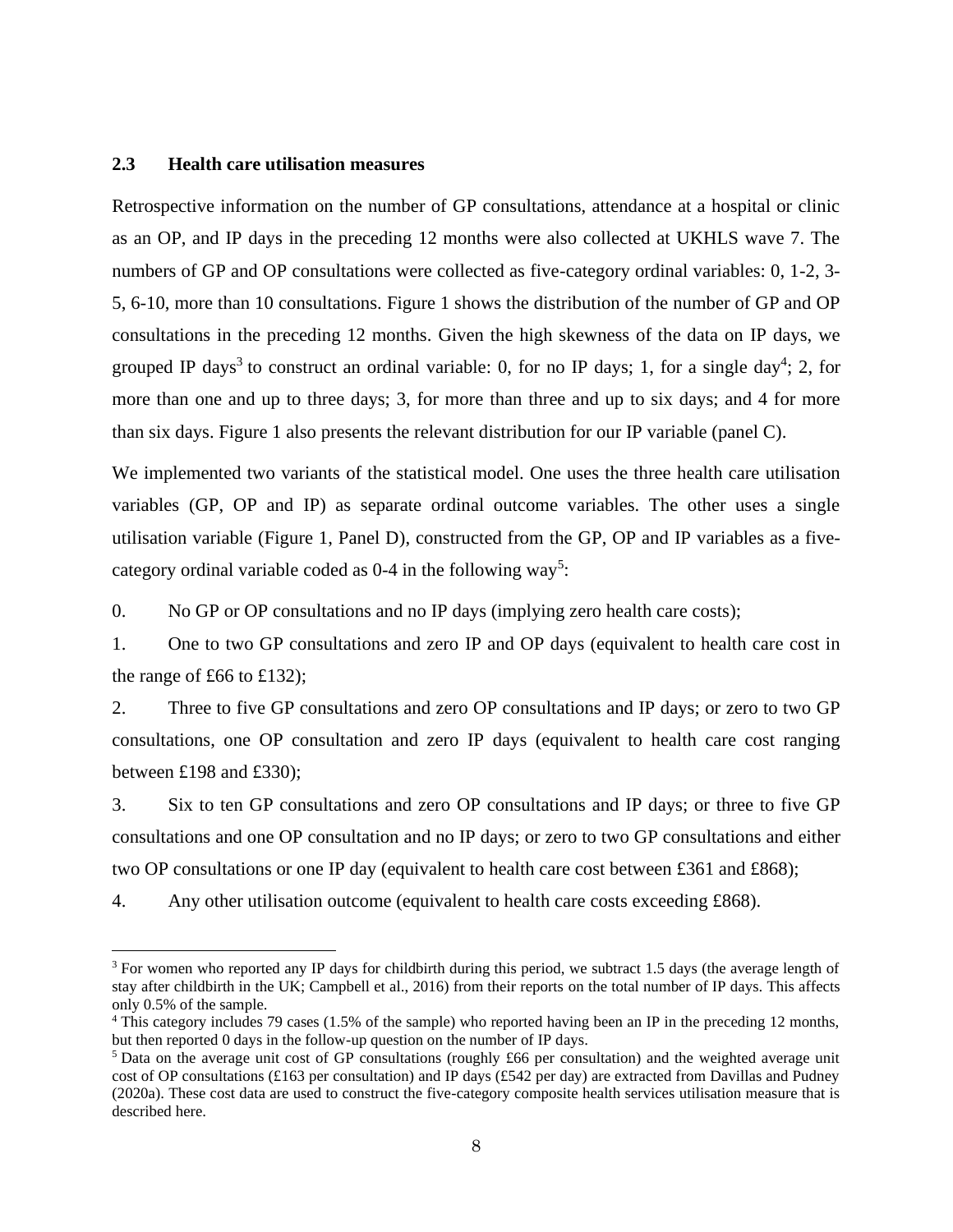## **2.3 Health care utilisation measures**

Retrospective information on the number of GP consultations, attendance at a hospital or clinic as an OP, and IP days in the preceding 12 months were also collected at UKHLS wave 7. The numbers of GP and OP consultations were collected as five-category ordinal variables: 0, 1-2, 3- 5, 6-10, more than 10 consultations. Figure 1 shows the distribution of the number of GP and OP consultations in the preceding 12 months. Given the high skewness of the data on IP days, we grouped IP days<sup>3</sup> to construct an ordinal variable: 0, for no IP days; 1, for a single day<sup>4</sup>; 2, for more than one and up to three days; 3, for more than three and up to six days; and 4 for more than six days. Figure 1 also presents the relevant distribution for our IP variable (panel C).

We implemented two variants of the statistical model. One uses the three health care utilisation variables (GP, OP and IP) as separate ordinal outcome variables. The other uses a single utilisation variable (Figure 1, Panel D), constructed from the GP, OP and IP variables as a fivecategory ordinal variable coded as  $0-4$  in the following way<sup>5</sup>:

0. No GP or OP consultations and no IP days (implying zero health care costs);

1. One to two GP consultations and zero IP and OP days (equivalent to health care cost in the range of £66 to £132);

2. Three to five GP consultations and zero OP consultations and IP days; or zero to two GP consultations, one OP consultation and zero IP days (equivalent to health care cost ranging between £198 and £330);

3. Six to ten GP consultations and zero OP consultations and IP days; or three to five GP consultations and one OP consultation and no IP days; or zero to two GP consultations and either two OP consultations or one IP day (equivalent to health care cost between £361 and £868);

4. Any other utilisation outcome (equivalent to health care costs exceeding £868).

<sup>&</sup>lt;sup>3</sup> For women who reported any IP days for childbirth during this period, we subtract 1.5 days (the average length of stay after childbirth in the UK; Campbell et al., 2016) from their reports on the total number of IP days. This affects only 0.5% of the sample.

<sup>4</sup> This category includes 79 cases (1.5% of the sample) who reported having been an IP in the preceding 12 months, but then reported 0 days in the follow-up question on the number of IP days.

 $5$  Data on the average unit cost of GP consultations (roughly £66 per consultation) and the weighted average unit cost of OP consultations (£163 per consultation) and IP days (£542 per day) are extracted from Davillas and Pudney (2020a). These cost data are used to construct the five-category composite health services utilisation measure that is described here.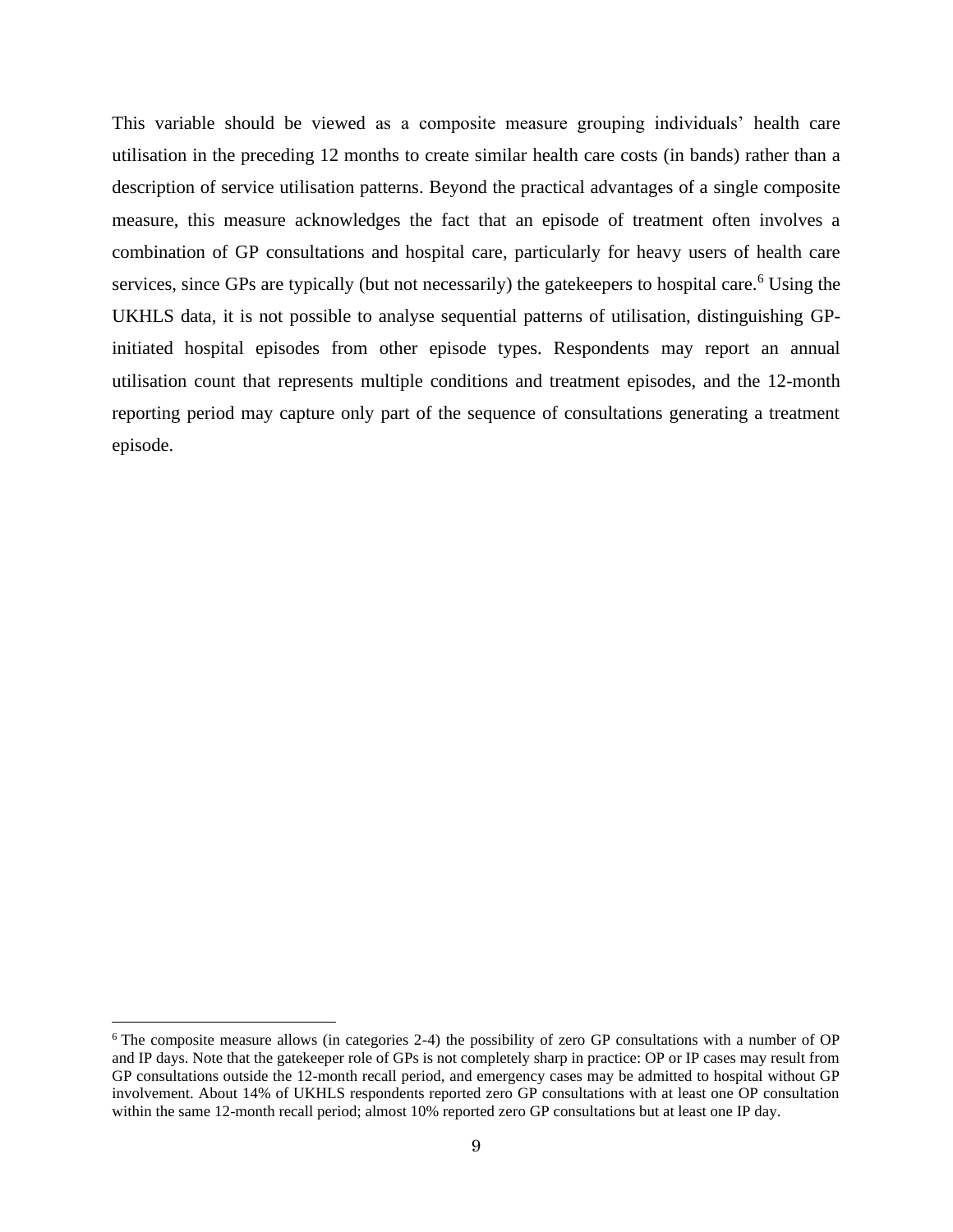This variable should be viewed as a composite measure grouping individuals' health care utilisation in the preceding 12 months to create similar health care costs (in bands) rather than a description of service utilisation patterns. Beyond the practical advantages of a single composite measure, this measure acknowledges the fact that an episode of treatment often involves a combination of GP consultations and hospital care, particularly for heavy users of health care services, since GPs are typically (but not necessarily) the gatekeepers to hospital care.<sup>6</sup> Using the UKHLS data, it is not possible to analyse sequential patterns of utilisation, distinguishing GPinitiated hospital episodes from other episode types. Respondents may report an annual utilisation count that represents multiple conditions and treatment episodes, and the 12-month reporting period may capture only part of the sequence of consultations generating a treatment episode.

<sup>6</sup> The composite measure allows (in categories 2-4) the possibility of zero GP consultations with a number of OP and IP days. Note that the gatekeeper role of GPs is not completely sharp in practice: OP or IP cases may result from GP consultations outside the 12-month recall period, and emergency cases may be admitted to hospital without GP involvement. About 14% of UKHLS respondents reported zero GP consultations with at least one OP consultation within the same 12-month recall period; almost 10% reported zero GP consultations but at least one IP day.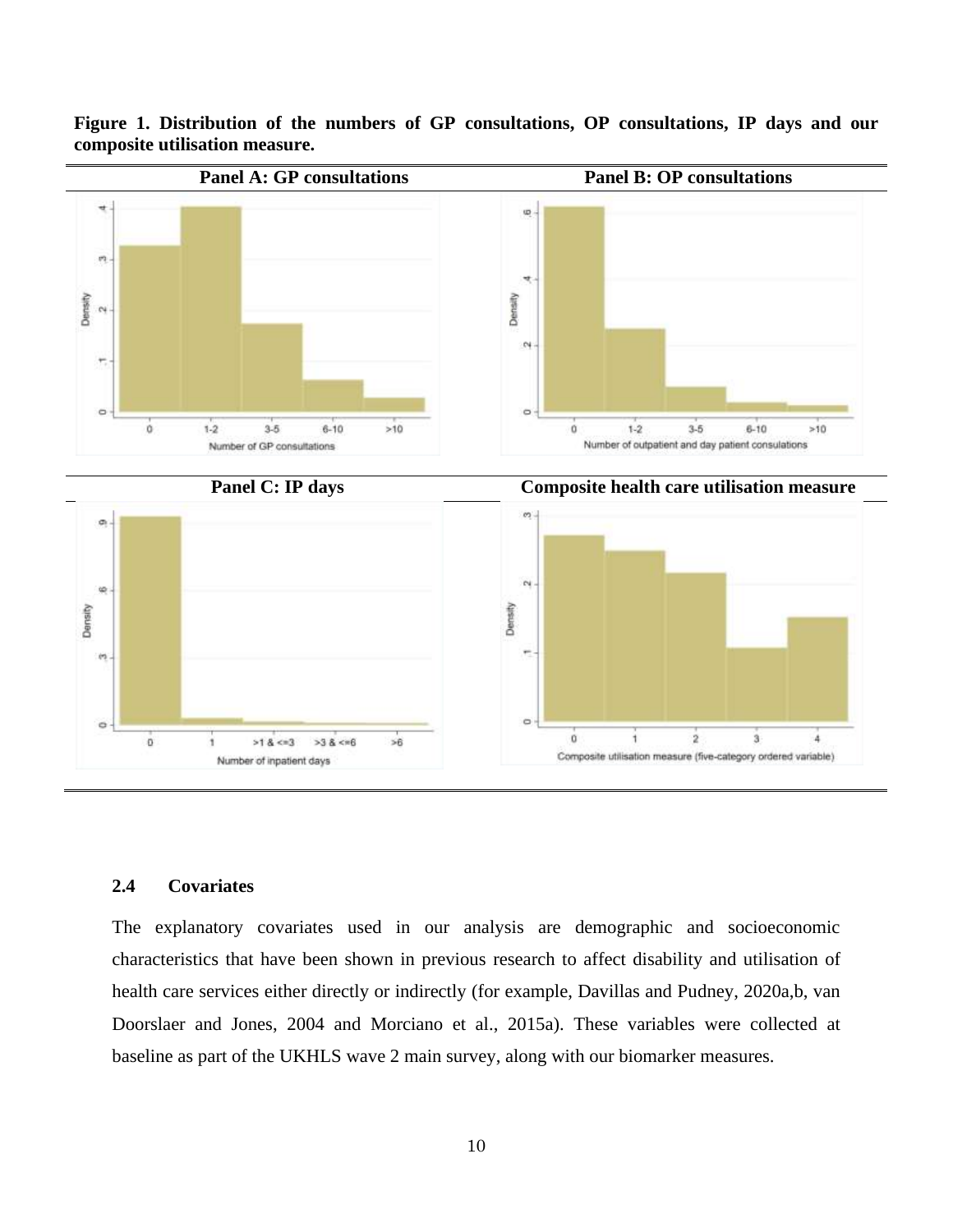**Figure 1. Distribution of the numbers of GP consultations, OP consultations, IP days and our composite utilisation measure.**



## **2.4 Covariates**

The explanatory covariates used in our analysis are demographic and socioeconomic characteristics that have been shown in previous research to affect disability and utilisation of health care services either directly or indirectly (for example, Davillas and Pudney, 2020a,b, van Doorslaer and Jones, 2004 and Morciano et al., 2015a). These variables were collected at baseline as part of the UKHLS wave 2 main survey, along with our biomarker measures.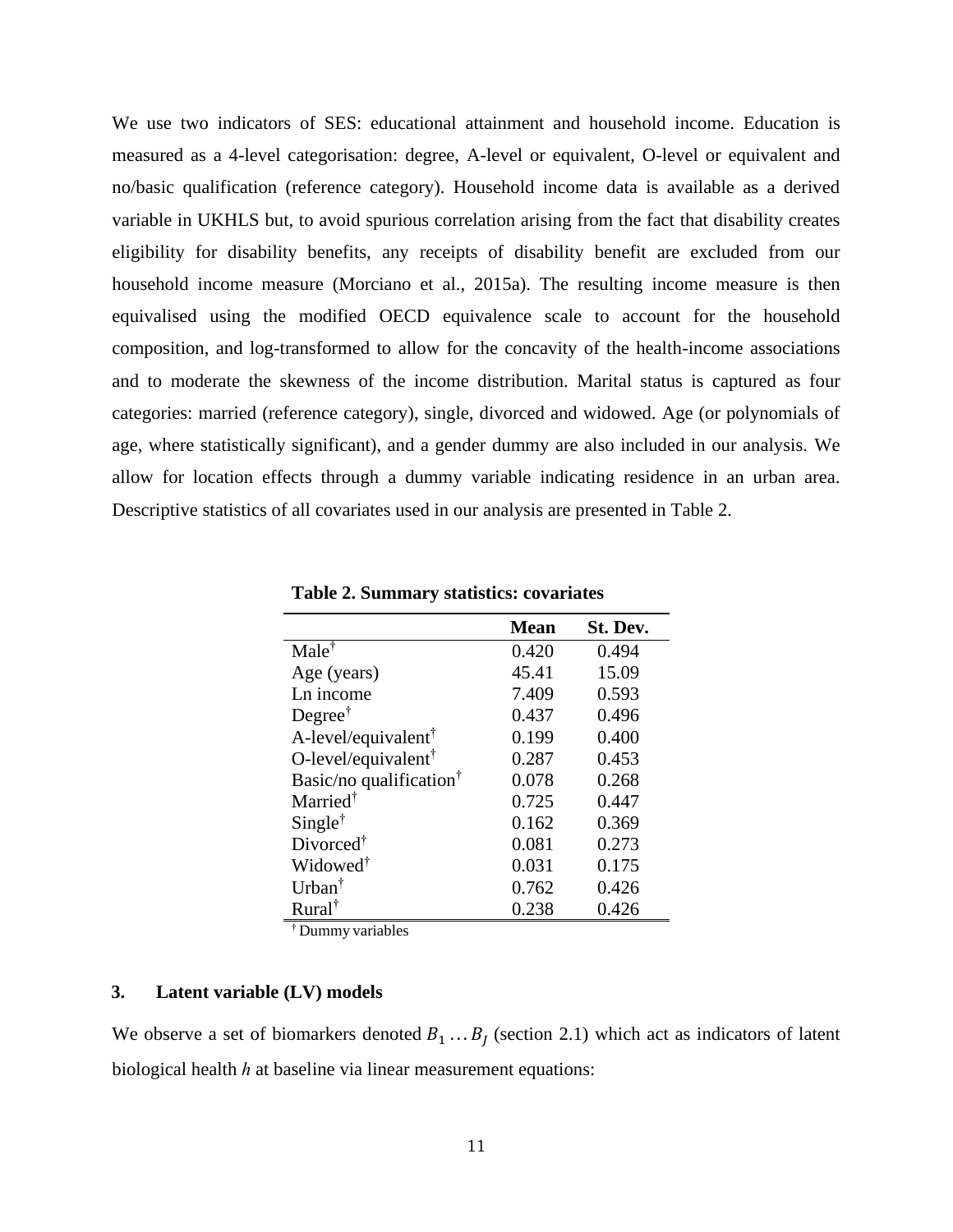We use two indicators of SES: educational attainment and household income. Education is measured as a 4-level categorisation: degree, A-level or equivalent, O-level or equivalent and no/basic qualification (reference category). Household income data is available as a derived variable in UKHLS but, to avoid spurious correlation arising from the fact that disability creates eligibility for disability benefits, any receipts of disability benefit are excluded from our household income measure (Morciano et al., 2015a). The resulting income measure is then equivalised using the modified OECD equivalence scale to account for the household composition, and log-transformed to allow for the concavity of the health-income associations and to moderate the skewness of the income distribution. Marital status is captured as four categories: married (reference category), single, divorced and widowed. Age (or polynomials of age, where statistically significant), and a gender dummy are also included in our analysis. We allow for location effects through a dummy variable indicating residence in an urban area. Descriptive statistics of all covariates used in our analysis are presented in Table 2.

|                                        | <b>Mean</b> | St. Dev. |
|----------------------------------------|-------------|----------|
| Male <sup>†</sup>                      | 0.420       | 0.494    |
| Age (years)                            | 45.41       | 15.09    |
| Ln income                              | 7.409       | 0.593    |
| Degree <sup><math>\dagger</math></sup> | 0.437       | 0.496    |
| $A$ -level/equivalent <sup>†</sup>     | 0.199       | 0.400    |
| O-level/equivalent $\dagger$           | 0.287       | 0.453    |
| Basic/no qualification <sup>†</sup>    | 0.078       | 0.268    |
| Married <sup>†</sup>                   | 0.725       | 0.447    |
| $Single^{\dagger}$                     | 0.162       | 0.369    |
| Divorced <sup>†</sup>                  | 0.081       | 0.273    |
| Widowed <sup>†</sup>                   | 0.031       | 0.175    |
| Urban <sup>†</sup>                     | 0.762       | 0.426    |
| Rural <sup>†</sup>                     | 0.238       | 0.426    |

**Table 2. Summary statistics: covariates** 

† Dummy variables

#### **3. Latent variable (LV) models**

We observe a set of biomarkers denoted  $B_1 \dots B_j$  (section 2.1) which act as indicators of latent biological health *h* at baseline via linear measurement equations: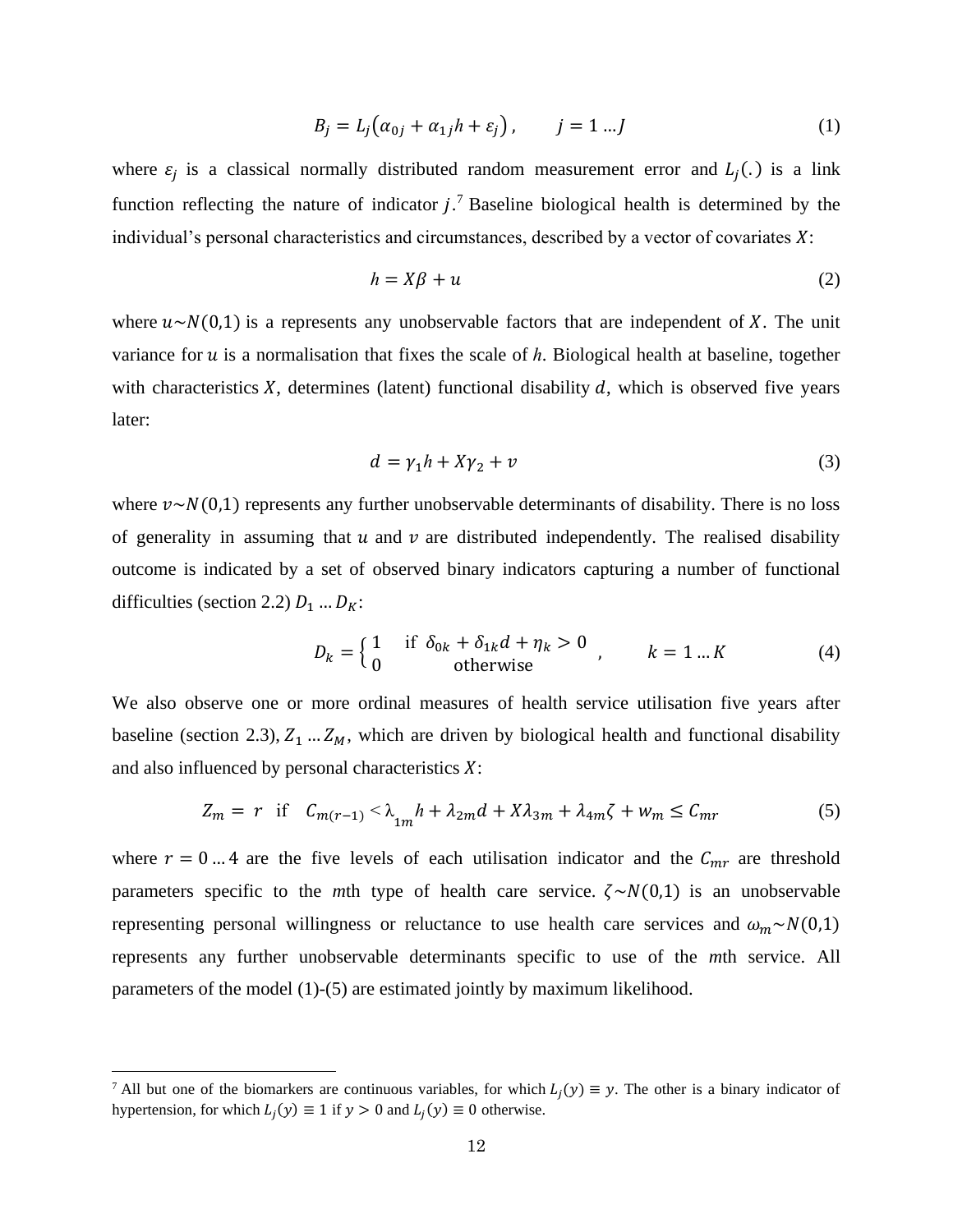$$
B_j = L_j(\alpha_{0j} + \alpha_{1j}h + \varepsilon_j), \qquad j = 1...J \tag{1}
$$

where  $\varepsilon_j$  is a classical normally distributed random measurement error and  $L_j(.)$  is a link function reflecting the nature of indicator  $j$ .<sup>7</sup> Baseline biological health is determined by the individual's personal characteristics and circumstances, described by a vector of covariates  $X$ :

$$
h = X\beta + u \tag{2}
$$

where  $u \sim N(0,1)$  is a represents any unobservable factors that are independent of X. The unit variance for  $u$  is a normalisation that fixes the scale of  $h$ . Biological health at baseline, together with characteristics  $X$ , determines (latent) functional disability  $d$ , which is observed five years later:

$$
d = \gamma_1 h + X \gamma_2 + v \tag{3}
$$

where  $v \sim N(0,1)$  represents any further unobservable determinants of disability. There is no loss of generality in assuming that  $u$  and  $v$  are distributed independently. The realised disability outcome is indicated by a set of observed binary indicators capturing a number of functional difficulties (section 2.2)  $D_1 ... D_K$ :

$$
D_k = \begin{cases} 1 & \text{if } \delta_{0k} + \delta_{1k}d + \eta_k > 0 \\ 0 & \text{otherwise} \end{cases}, \qquad k = 1 \dots K \tag{4}
$$

We also observe one or more ordinal measures of health service utilisation five years after baseline (section 2.3),  $Z_1 ... Z_M$ , which are driven by biological health and functional disability and also influenced by personal characteristics  $X$ :

$$
Z_m = r \quad \text{if} \quad C_{m(r-1)} < \lambda_{1m} h + \lambda_{2m} d + X \lambda_{3m} + \lambda_{4m} \zeta + w_m \le C_{mr} \tag{5}
$$

where  $r = 0$ . 4 are the five levels of each utilisation indicator and the  $C_{mr}$  are threshold parameters specific to the *m*th type of health care service.  $\zeta \sim N(0,1)$  is an unobservable representing personal willingness or reluctance to use health care services and  $\omega_m \sim N(0,1)$ represents any further unobservable determinants specific to use of the *m*th service. All parameters of the model (1)-(5) are estimated jointly by maximum likelihood.

<sup>&</sup>lt;sup>7</sup> All but one of the biomarkers are continuous variables, for which  $L_j(y) \equiv y$ . The other is a binary indicator of hypertension, for which  $L_j(y) \equiv 1$  if  $y > 0$  and  $L_j(y) \equiv 0$  otherwise.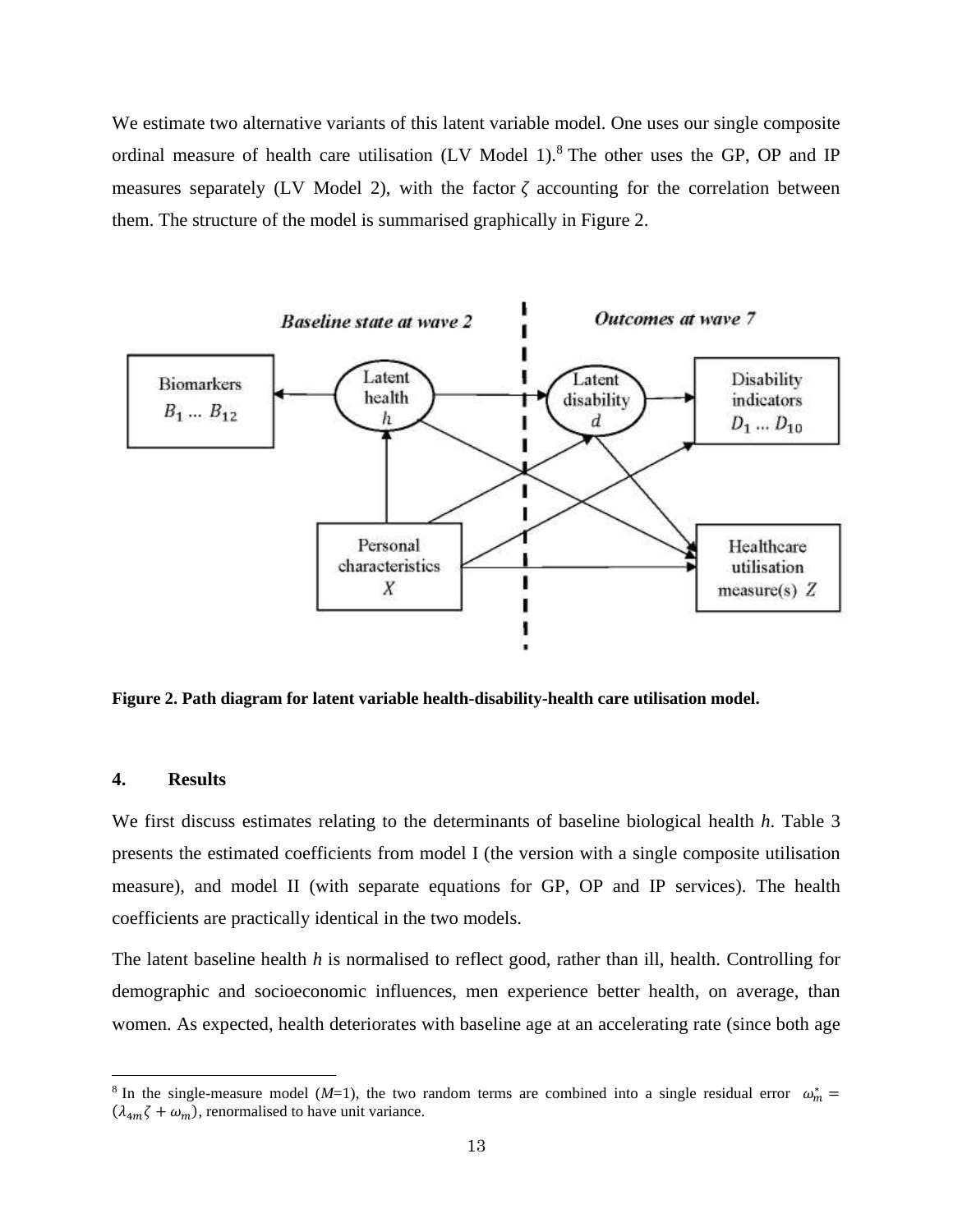We estimate two alternative variants of this latent variable model. One uses our single composite ordinal measure of health care utilisation (LV Model 1).<sup>8</sup> The other uses the GP, OP and IP measures separately (LV Model 2), with the factor  $\zeta$  accounting for the correlation between them. The structure of the model is summarised graphically in Figure 2.



**Figure 2. Path diagram for latent variable health-disability-health care utilisation model.**

## **4. Results**

We first discuss estimates relating to the determinants of baseline biological health *h*. Table 3 presents the estimated coefficients from model I (the version with a single composite utilisation measure), and model II (with separate equations for GP, OP and IP services). The health coefficients are practically identical in the two models.

The latent baseline health *h* is normalised to reflect good, rather than ill, health. Controlling for demographic and socioeconomic influences, men experience better health, on average, than women. As expected, health deteriorates with baseline age at an accelerating rate (since both age

<sup>&</sup>lt;sup>8</sup> In the single-measure model (*M*=1), the two random terms are combined into a single residual error  $\omega_m^* =$  $(\lambda_{4m}\zeta + \omega_m)$ , renormalised to have unit variance.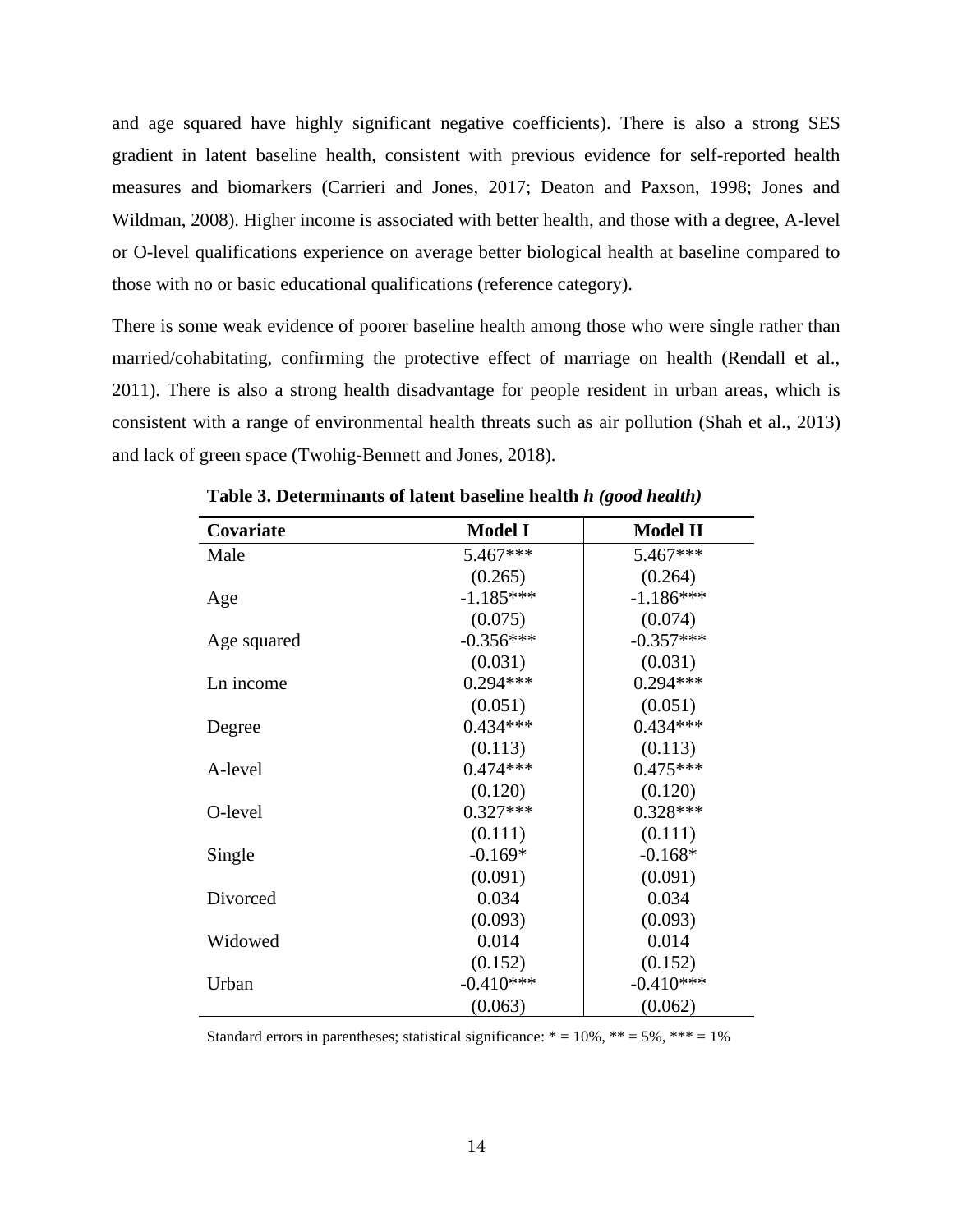and age squared have highly significant negative coefficients). There is also a strong SES gradient in latent baseline health, consistent with previous evidence for self-reported health measures and biomarkers (Carrieri and Jones, 2017; Deaton and Paxson, 1998; Jones and Wildman, 2008). Higher income is associated with better health, and those with a degree, A-level or O-level qualifications experience on average better biological health at baseline compared to those with no or basic educational qualifications (reference category).

There is some weak evidence of poorer baseline health among those who were single rather than married/cohabitating, confirming the protective effect of marriage on health (Rendall et al., 2011). There is also a strong health disadvantage for people resident in urban areas, which is consistent with a range of environmental health threats such as air pollution (Shah et al., 2013) and lack of green space (Twohig-Bennett and Jones, 2018).

| Covariate   | <b>Model I</b> | <b>Model II</b> |  |  |
|-------------|----------------|-----------------|--|--|
| Male        | 5.467***       | 5.467***        |  |  |
|             | (0.265)        | (0.264)         |  |  |
| Age         | $-1.185***$    | $-1.186***$     |  |  |
|             | (0.075)        | (0.074)         |  |  |
| Age squared | $-0.356***$    | $-0.357***$     |  |  |
|             | (0.031)        | (0.031)         |  |  |
| Ln income   | $0.294***$     | $0.294***$      |  |  |
|             | (0.051)        | (0.051)         |  |  |
| Degree      | $0.434***$     | $0.434***$      |  |  |
|             | (0.113)        | (0.113)         |  |  |
| A-level     | $0.474***$     | $0.475***$      |  |  |
|             | (0.120)        | (0.120)         |  |  |
| O-level     | $0.327***$     | $0.328***$      |  |  |
|             | (0.111)        | (0.111)         |  |  |
| Single      | $-0.169*$      | $-0.168*$       |  |  |
|             | (0.091)        | (0.091)         |  |  |
| Divorced    | 0.034          | 0.034           |  |  |
|             | (0.093)        | (0.093)         |  |  |
| Widowed     | 0.014          | 0.014           |  |  |
|             | (0.152)        | (0.152)         |  |  |
| Urban       | $-0.410***$    | $-0.410***$     |  |  |
|             | (0.063)        | (0.062)         |  |  |

**Table 3. Determinants of latent baseline health** *h (good health)*

Standard errors in parentheses; statistical significance:  $* = 10\%$ ,  $** = 5\%$ ,  $** = 1\%$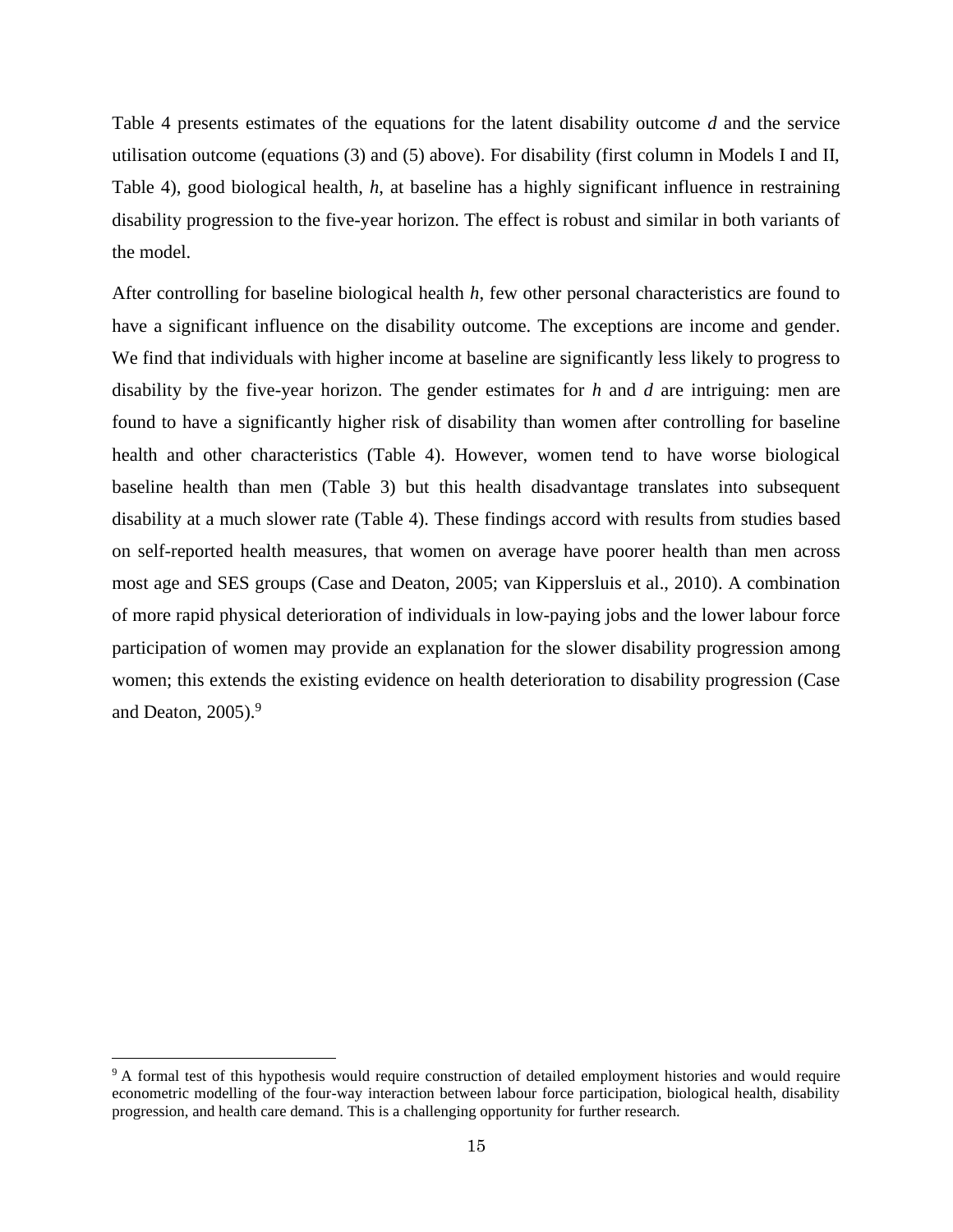Table 4 presents estimates of the equations for the latent disability outcome *d* and the service utilisation outcome (equations (3) and (5) above). For disability (first column in Models I and II, Table 4), good biological health, *h*, at baseline has a highly significant influence in restraining disability progression to the five-year horizon. The effect is robust and similar in both variants of the model.

After controlling for baseline biological health *h*, few other personal characteristics are found to have a significant influence on the disability outcome. The exceptions are income and gender. We find that individuals with higher income at baseline are significantly less likely to progress to disability by the five-year horizon. The gender estimates for *h* and *d* are intriguing: men are found to have a significantly higher risk of disability than women after controlling for baseline health and other characteristics (Table 4). However, women tend to have worse biological baseline health than men (Table 3) but this health disadvantage translates into subsequent disability at a much slower rate (Table 4). These findings accord with results from studies based on self-reported health measures, that women on average have poorer health than men across most age and SES groups (Case and Deaton, 2005; van Kippersluis et al., 2010). A combination of more rapid physical deterioration of individuals in low-paying jobs and the lower labour force participation of women may provide an explanation for the slower disability progression among women; this extends the existing evidence on health deterioration to disability progression (Case and Deaton, 2005). 9

<sup>9</sup> A formal test of this hypothesis would require construction of detailed employment histories and would require econometric modelling of the four-way interaction between labour force participation, biological health, disability progression, and health care demand. This is a challenging opportunity for further research.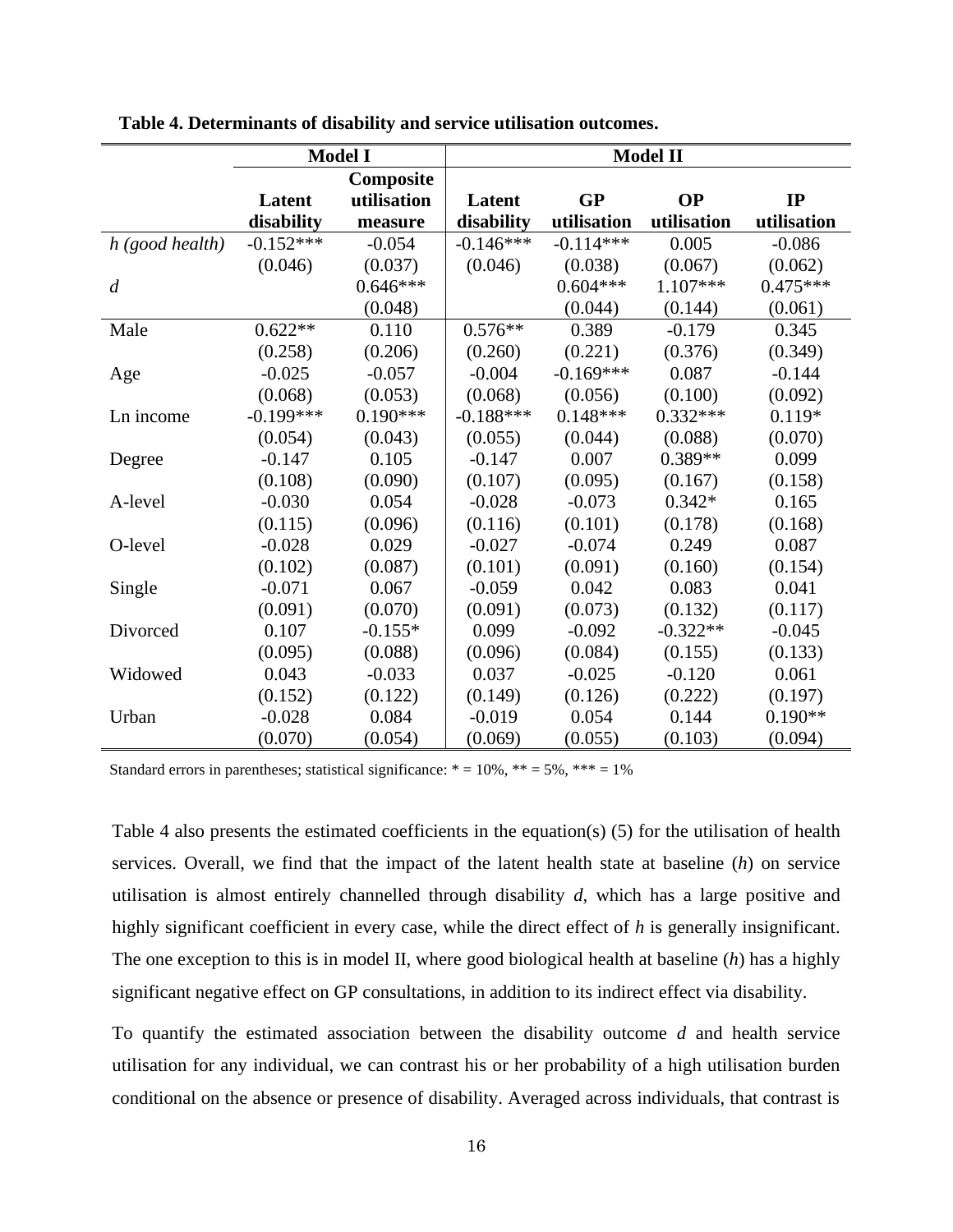|                   | <b>Model I</b><br><b>Model II</b> |             |             |             |             |             |
|-------------------|-----------------------------------|-------------|-------------|-------------|-------------|-------------|
|                   |                                   | Composite   |             |             |             |             |
|                   | Latent                            | utilisation | Latent      | <b>GP</b>   | <b>OP</b>   | IP          |
|                   | disability                        | measure     | disability  | utilisation | utilisation | utilisation |
| $h$ (good health) | $-0.152***$                       | $-0.054$    | $-0.146***$ | $-0.114***$ | 0.005       | $-0.086$    |
|                   | (0.046)                           | (0.037)     | (0.046)     | (0.038)     | (0.067)     | (0.062)     |
| d                 |                                   | $0.646***$  |             | $0.604***$  | $1.107***$  | $0.475***$  |
|                   |                                   | (0.048)     |             | (0.044)     | (0.144)     | (0.061)     |
| Male              | $0.622**$                         | 0.110       | $0.576**$   | 0.389       | $-0.179$    | 0.345       |
|                   | (0.258)                           | (0.206)     | (0.260)     | (0.221)     | (0.376)     | (0.349)     |
| Age               | $-0.025$                          | $-0.057$    | $-0.004$    | $-0.169***$ | 0.087       | $-0.144$    |
|                   | (0.068)                           | (0.053)     | (0.068)     | (0.056)     | (0.100)     | (0.092)     |
| Ln income         | $-0.199***$                       | $0.190***$  | $-0.188***$ | $0.148***$  | $0.332***$  | $0.119*$    |
|                   | (0.054)                           | (0.043)     | (0.055)     | (0.044)     | (0.088)     | (0.070)     |
| Degree            | $-0.147$                          | 0.105       | $-0.147$    | 0.007       | $0.389**$   | 0.099       |
|                   | (0.108)                           | (0.090)     | (0.107)     | (0.095)     | (0.167)     | (0.158)     |
| A-level           | $-0.030$                          | 0.054       | $-0.028$    | $-0.073$    | $0.342*$    | 0.165       |
|                   | (0.115)                           | (0.096)     | (0.116)     | (0.101)     | (0.178)     | (0.168)     |
| O-level           | $-0.028$                          | 0.029       | $-0.027$    | $-0.074$    | 0.249       | 0.087       |
|                   | (0.102)                           | (0.087)     | (0.101)     | (0.091)     | (0.160)     | (0.154)     |
| Single            | $-0.071$                          | 0.067       | $-0.059$    | 0.042       | 0.083       | 0.041       |
|                   | (0.091)                           | (0.070)     | (0.091)     | (0.073)     | (0.132)     | (0.117)     |
| Divorced          | 0.107                             | $-0.155*$   | 0.099       | $-0.092$    | $-0.322**$  | $-0.045$    |
|                   | (0.095)                           | (0.088)     | (0.096)     | (0.084)     | (0.155)     | (0.133)     |
| Widowed           | 0.043                             | $-0.033$    | 0.037       | $-0.025$    | $-0.120$    | 0.061       |
|                   | (0.152)                           | (0.122)     | (0.149)     | (0.126)     | (0.222)     | (0.197)     |
| Urban             | $-0.028$                          | 0.084       | $-0.019$    | 0.054       | 0.144       | $0.190**$   |
|                   | (0.070)                           | (0.054)     | (0.069)     | (0.055)     | (0.103)     | (0.094)     |

**Table 4. Determinants of disability and service utilisation outcomes.**

Standard errors in parentheses; statistical significance:  $* = 10\%$ ,  $** = 5\%$ ,  $*** = 1\%$ 

Table 4 also presents the estimated coefficients in the equation(s) (5) for the utilisation of health services. Overall, we find that the impact of the latent health state at baseline (*h*) on service utilisation is almost entirely channelled through disability *d*, which has a large positive and highly significant coefficient in every case, while the direct effect of *h* is generally insignificant. The one exception to this is in model II, where good biological health at baseline (*h*) has a highly significant negative effect on GP consultations, in addition to its indirect effect via disability.

To quantify the estimated association between the disability outcome *d* and health service utilisation for any individual, we can contrast his or her probability of a high utilisation burden conditional on the absence or presence of disability. Averaged across individuals, that contrast is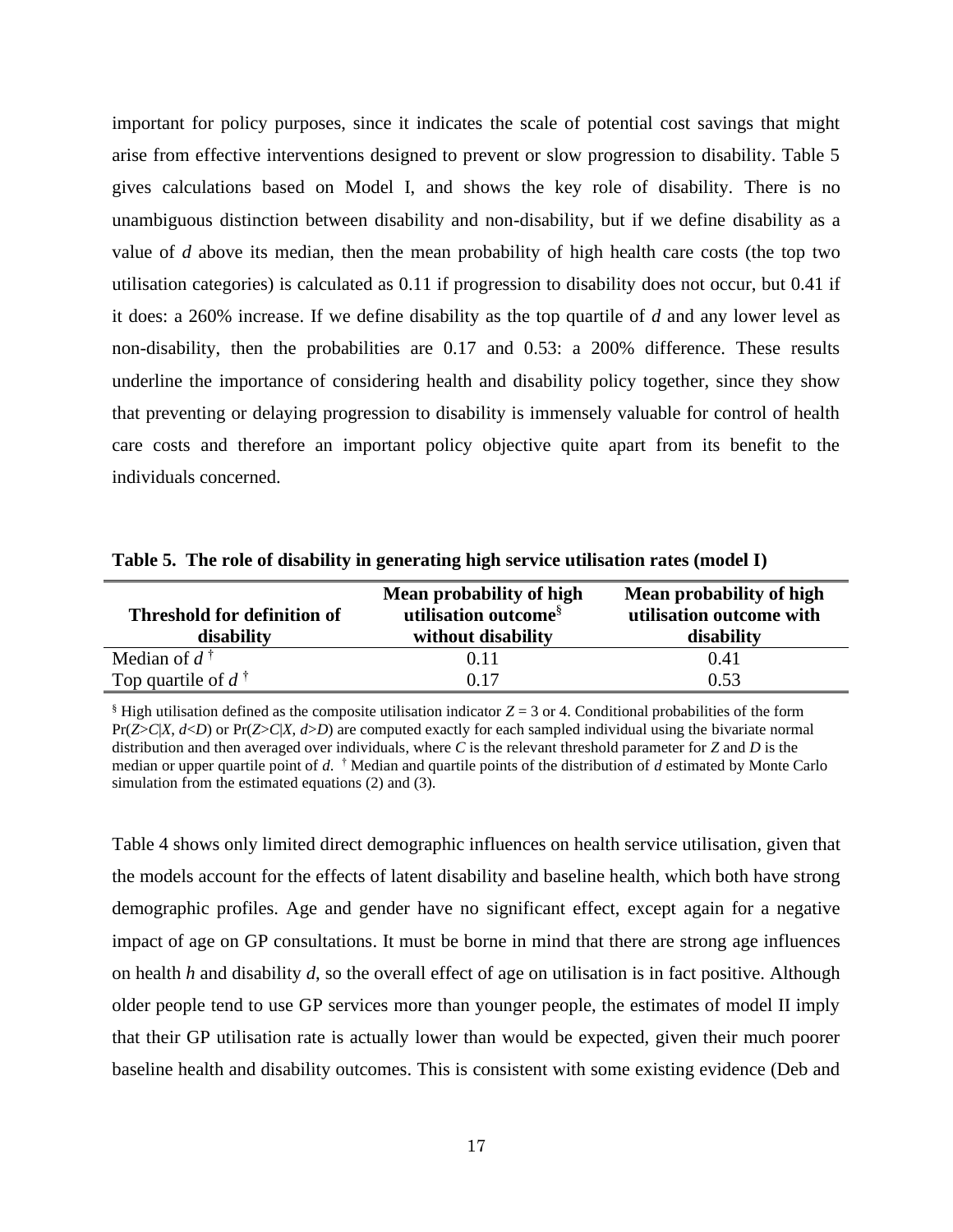important for policy purposes, since it indicates the scale of potential cost savings that might arise from effective interventions designed to prevent or slow progression to disability. Table 5 gives calculations based on Model I, and shows the key role of disability. There is no unambiguous distinction between disability and non-disability, but if we define disability as a value of *d* above its median, then the mean probability of high health care costs (the top two utilisation categories) is calculated as 0.11 if progression to disability does not occur, but 0.41 if it does: a 260% increase. If we define disability as the top quartile of *d* and any lower level as non-disability, then the probabilities are 0.17 and 0.53: a 200% difference. These results underline the importance of considering health and disability policy together, since they show that preventing or delaying progression to disability is immensely valuable for control of health care costs and therefore an important policy objective quite apart from its benefit to the individuals concerned.

| <b>Threshold for definition of</b><br>disability | Mean probability of high<br>utilisation outcome <sup>§</sup><br>without disability | Mean probability of high<br>utilisation outcome with<br>disability |  |
|--------------------------------------------------|------------------------------------------------------------------------------------|--------------------------------------------------------------------|--|
| Median of $d^{\dagger}$                          | 0.11                                                                               | 0.41                                                               |  |
| Top quartile of $d^{\dagger}$                    | 0.17                                                                               | 0.53                                                               |  |

**Table 5. The role of disability in generating high service utilisation rates (model I)**

 $\frac{1}{2}$  High utilisation defined as the composite utilisation indicator  $Z = 3$  or 4. Conditional probabilities of the form  $Pr(Z > C|X, d < D)$  or  $Pr(Z > C|X, d > D)$  are computed exactly for each sampled individual using the bivariate normal distribution and then averaged over individuals, where *C* is the relevant threshold parameter for *Z* and *D* is the median or upper quartile point of *d*. † Median and quartile points of the distribution of *d* estimated by Monte Carlo simulation from the estimated equations (2) and (3).

Table 4 shows only limited direct demographic influences on health service utilisation, given that the models account for the effects of latent disability and baseline health, which both have strong demographic profiles. Age and gender have no significant effect, except again for a negative impact of age on GP consultations. It must be borne in mind that there are strong age influences on health *h* and disability *d*, so the overall effect of age on utilisation is in fact positive. Although older people tend to use GP services more than younger people, the estimates of model II imply that their GP utilisation rate is actually lower than would be expected, given their much poorer baseline health and disability outcomes. This is consistent with some existing evidence (Deb and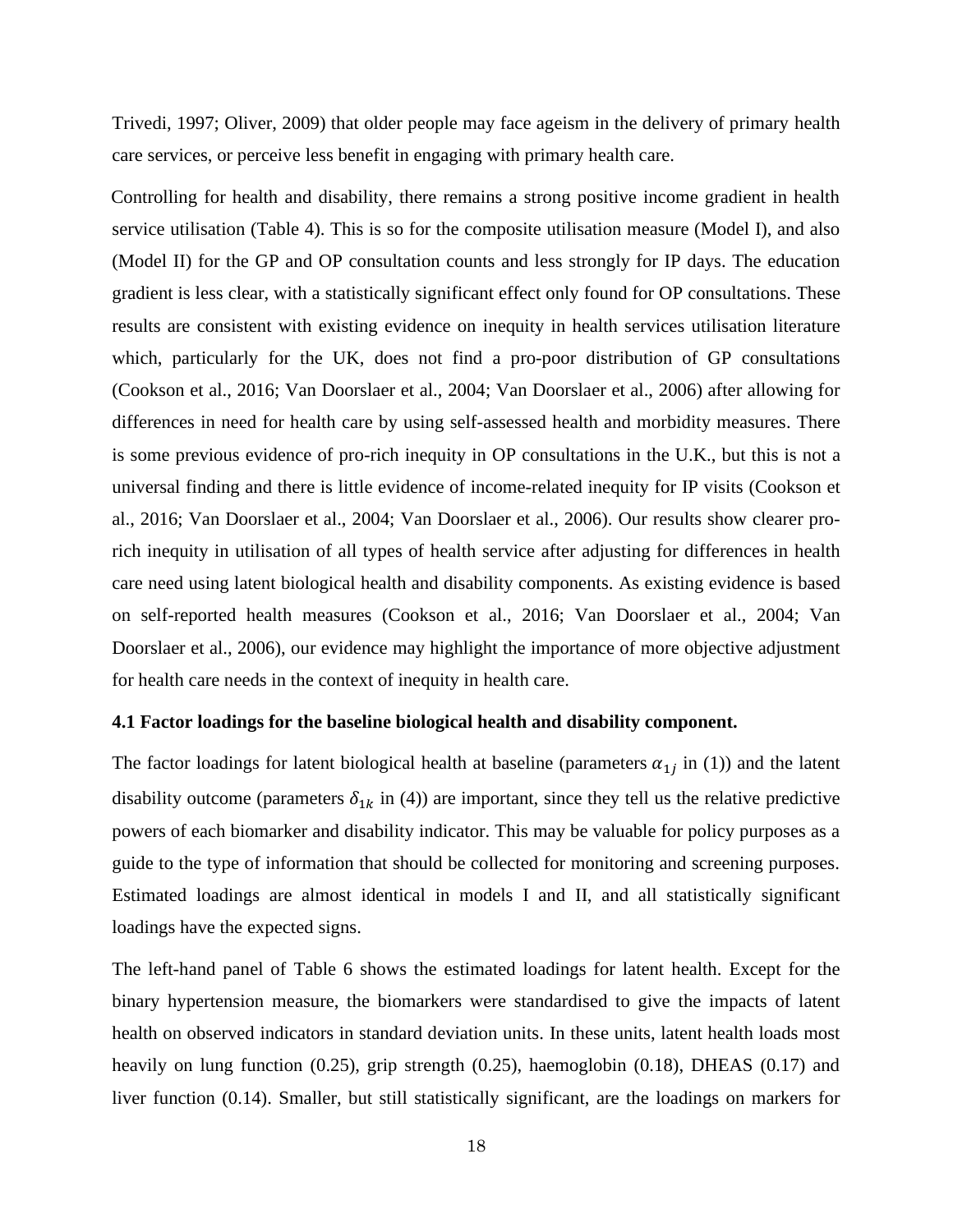Trivedi, 1997; Oliver, 2009) that older people may face ageism in the delivery of primary health care services, or perceive less benefit in engaging with primary health care.

Controlling for health and disability, there remains a strong positive income gradient in health service utilisation (Table 4). This is so for the composite utilisation measure (Model I), and also (Model II) for the GP and OP consultation counts and less strongly for IP days. The education gradient is less clear, with a statistically significant effect only found for OP consultations. These results are consistent with existing evidence on inequity in health services utilisation literature which, particularly for the UK, does not find a pro-poor distribution of GP consultations (Cookson et al., 2016; Van Doorslaer et al., 2004; Van Doorslaer et al., 2006) after allowing for differences in need for health care by using self-assessed health and morbidity measures. There is some previous evidence of pro-rich inequity in OP consultations in the U.K., but this is not a universal finding and there is little evidence of income-related inequity for IP visits (Cookson et al., 2016; Van Doorslaer et al., 2004; Van Doorslaer et al., 2006). Our results show clearer prorich inequity in utilisation of all types of health service after adjusting for differences in health care need using latent biological health and disability components. As existing evidence is based on self-reported health measures (Cookson et al., 2016; Van Doorslaer et al., 2004; Van Doorslaer et al., 2006), our evidence may highlight the importance of more objective adjustment for health care needs in the context of inequity in health care.

#### **4.1 Factor loadings for the baseline biological health and disability component.**

The factor loadings for latent biological health at baseline (parameters  $\alpha_{1j}$  in (1)) and the latent disability outcome (parameters  $\delta_{1k}$  in (4)) are important, since they tell us the relative predictive powers of each biomarker and disability indicator. This may be valuable for policy purposes as a guide to the type of information that should be collected for monitoring and screening purposes. Estimated loadings are almost identical in models I and II, and all statistically significant loadings have the expected signs.

The left-hand panel of Table 6 shows the estimated loadings for latent health. Except for the binary hypertension measure, the biomarkers were standardised to give the impacts of latent health on observed indicators in standard deviation units. In these units, latent health loads most heavily on lung function (0.25), grip strength (0.25), haemoglobin (0.18), DHEAS (0.17) and liver function (0.14). Smaller, but still statistically significant, are the loadings on markers for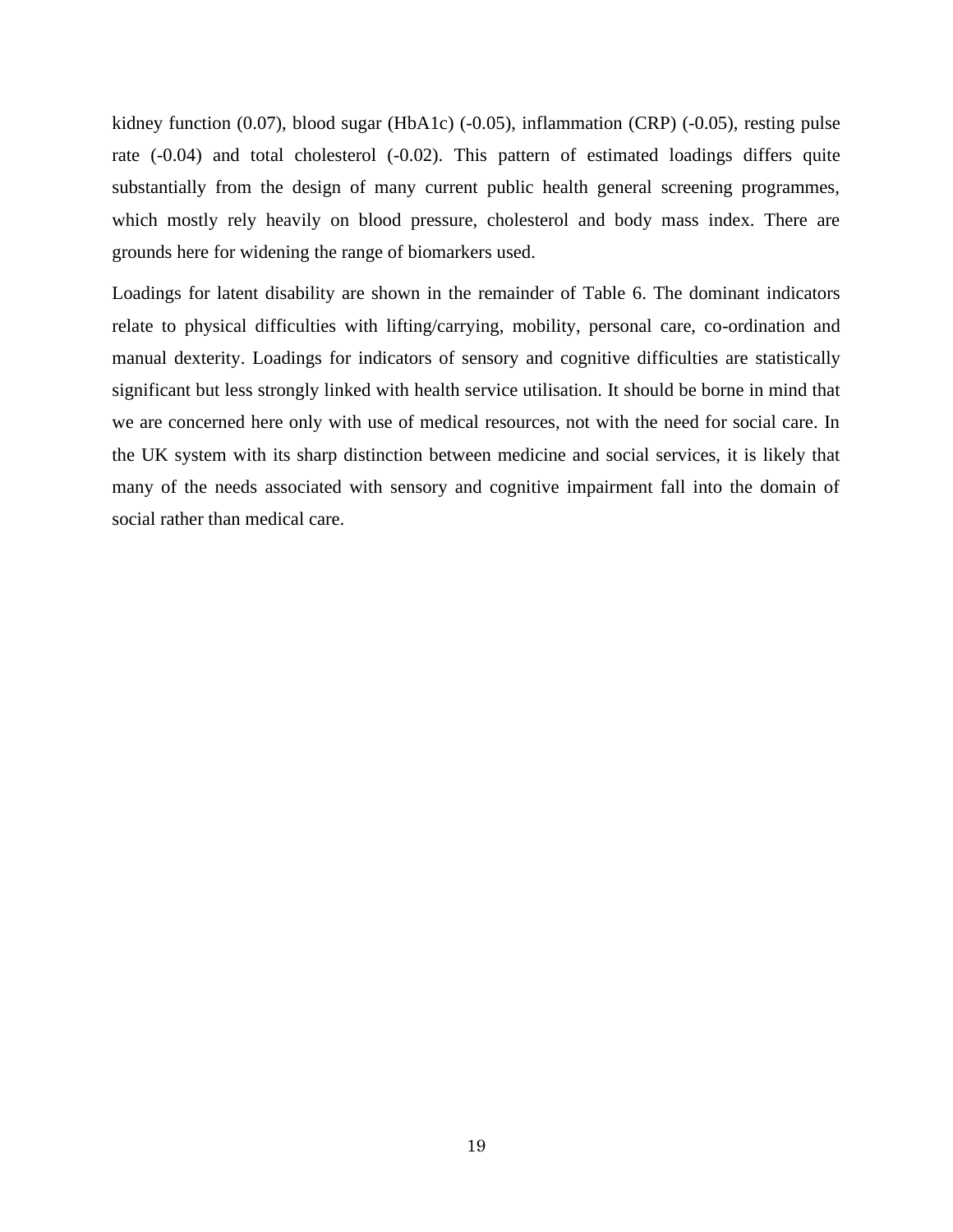kidney function (0.07), blood sugar (HbA1c) (-0.05), inflammation (CRP) (-0.05), resting pulse rate (-0.04) and total cholesterol (-0.02). This pattern of estimated loadings differs quite substantially from the design of many current public health general screening programmes, which mostly rely heavily on blood pressure, cholesterol and body mass index. There are grounds here for widening the range of biomarkers used.

Loadings for latent disability are shown in the remainder of Table 6. The dominant indicators relate to physical difficulties with lifting/carrying, mobility, personal care, co-ordination and manual dexterity. Loadings for indicators of sensory and cognitive difficulties are statistically significant but less strongly linked with health service utilisation. It should be borne in mind that we are concerned here only with use of medical resources, not with the need for social care. In the UK system with its sharp distinction between medicine and social services, it is likely that many of the needs associated with sensory and cognitive impairment fall into the domain of social rather than medical care.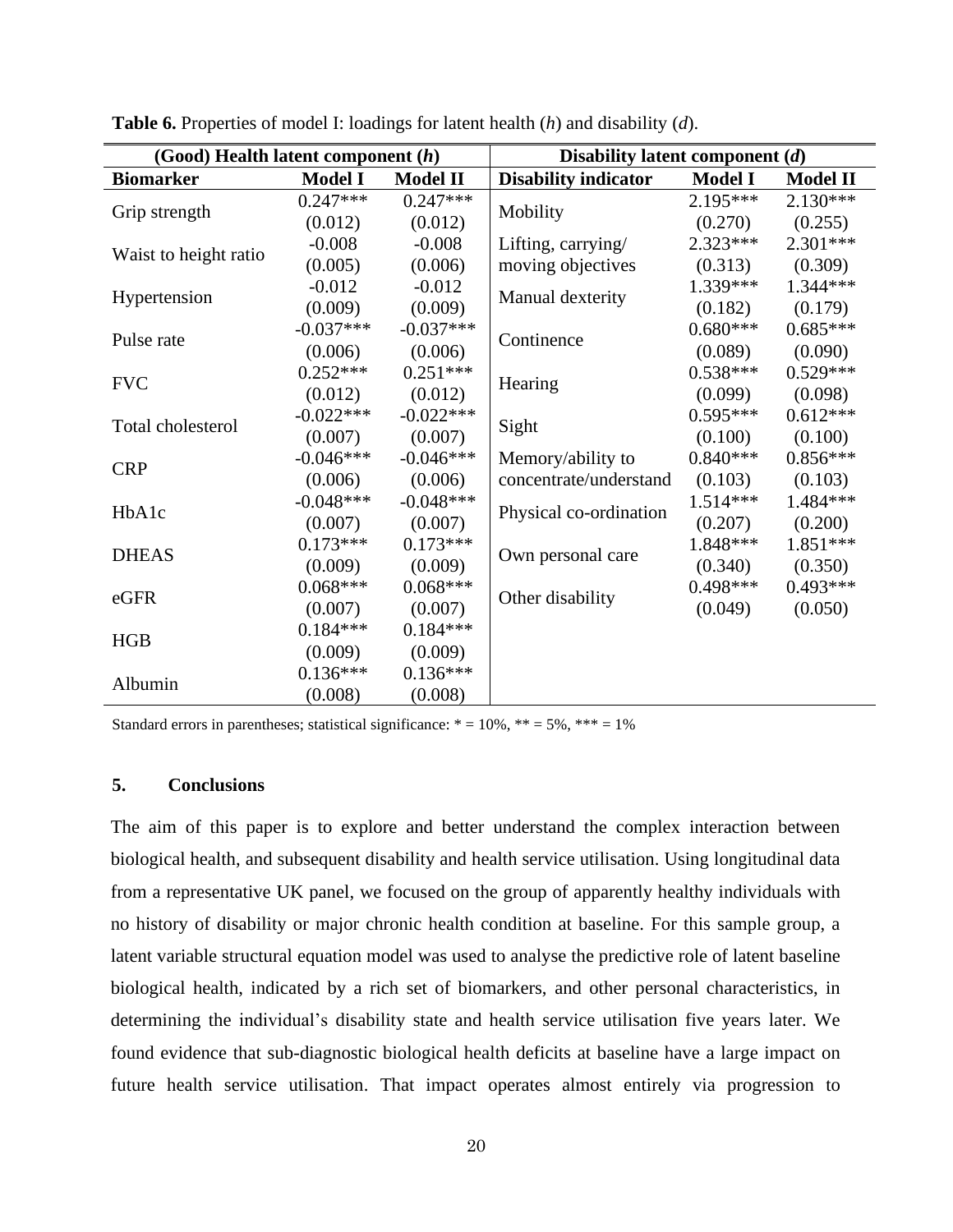| (Good) Health latent component $(h)$ |                | Disability latent component $(d)$ |                             |                |                 |
|--------------------------------------|----------------|-----------------------------------|-----------------------------|----------------|-----------------|
| <b>Biomarker</b>                     | <b>Model I</b> | <b>Model II</b>                   | <b>Disability indicator</b> | <b>Model I</b> | <b>Model II</b> |
| Grip strength                        | $0.247***$     | $0.247***$                        | Mobility                    | $2.195***$     | $2.130***$      |
|                                      | (0.012)        | (0.012)                           |                             | (0.270)        | (0.255)         |
| Waist to height ratio                | $-0.008$       | $-0.008$                          | Lifting, carrying/          | $2.323***$     | $2.301***$      |
|                                      | (0.005)        | (0.006)                           | moving objectives           | (0.313)        | (0.309)         |
|                                      | $-0.012$       | $-0.012$                          |                             | $1.339***$     | $1.344***$      |
| Hypertension                         | (0.009)        | (0.009)                           | Manual dexterity            | (0.182)        | (0.179)         |
|                                      | $-0.037***$    | $-0.037***$                       |                             | $0.680***$     | $0.685***$      |
| Pulse rate                           | (0.006)        | (0.006)                           | Continence                  | (0.089)        | (0.090)         |
| <b>FVC</b>                           | $0.252***$     | $0.251***$                        |                             | $0.538***$     | $0.529***$      |
|                                      | (0.012)        | (0.012)                           | Hearing                     | (0.099)        | (0.098)         |
|                                      | $-0.022***$    | $-0.022***$                       | Sight                       | $0.595***$     | $0.612***$      |
| Total cholesterol                    | (0.007)        | (0.007)                           |                             | (0.100)        | (0.100)         |
|                                      | $-0.046***$    | $-0.046***$                       | Memory/ability to           | $0.840***$     | $0.856***$      |
| <b>CRP</b>                           | (0.006)        | (0.006)                           | concentrate/understand      | (0.103)        | (0.103)         |
|                                      | $-0.048***$    | $-0.048***$                       |                             | $1.514***$     | 1.484***        |
| HbAlc                                | (0.007)        | (0.007)                           | Physical co-ordination      | (0.207)        | (0.200)         |
| <b>DHEAS</b>                         | $0.173***$     | $0.173***$                        | Own personal care           | 1.848***       | $1.851***$      |
|                                      | (0.009)        | (0.009)                           |                             | (0.340)        | (0.350)         |
| eGFR                                 | $0.068***$     | $0.068***$                        | Other disability            | $0.498***$     | $0.493***$      |
|                                      | (0.007)        | (0.007)                           |                             | (0.049)        | (0.050)         |
| <b>HGB</b>                           | $0.184***$     | $0.184***$                        |                             |                |                 |
|                                      | (0.009)        | (0.009)                           |                             |                |                 |
| Albumin                              | $0.136***$     | $0.136***$                        |                             |                |                 |
|                                      | (0.008)        | (0.008)                           |                             |                |                 |

**Table 6.** Properties of model I: loadings for latent health (*h*) and disability (*d*).

Standard errors in parentheses; statistical significance:  $* = 10\%$ ,  $** = 5\%$ ,  $*** = 1\%$ 

#### **5. Conclusions**

The aim of this paper is to explore and better understand the complex interaction between biological health, and subsequent disability and health service utilisation. Using longitudinal data from a representative UK panel, we focused on the group of apparently healthy individuals with no history of disability or major chronic health condition at baseline. For this sample group, a latent variable structural equation model was used to analyse the predictive role of latent baseline biological health, indicated by a rich set of biomarkers, and other personal characteristics, in determining the individual's disability state and health service utilisation five years later. We found evidence that sub-diagnostic biological health deficits at baseline have a large impact on future health service utilisation. That impact operates almost entirely via progression to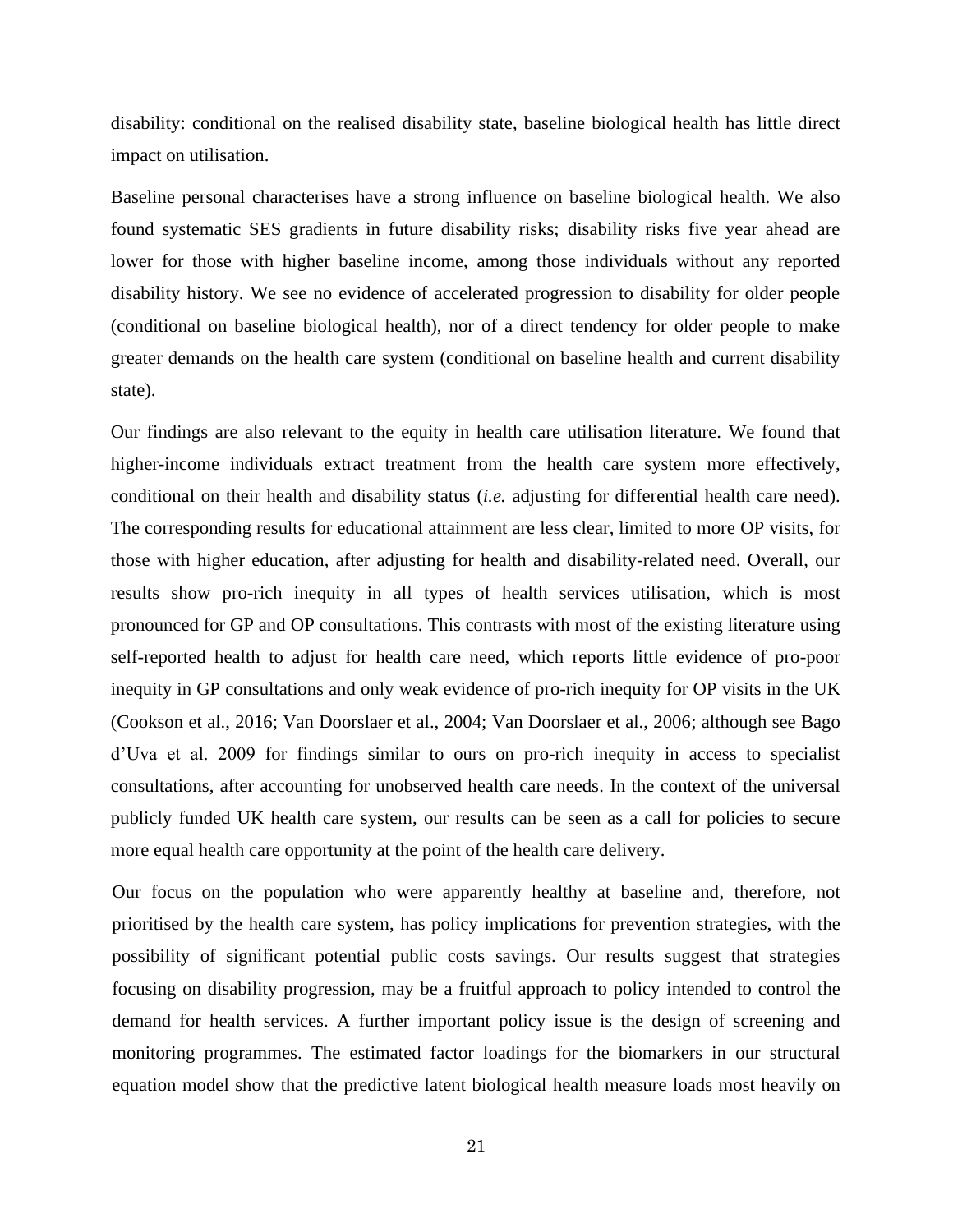disability: conditional on the realised disability state, baseline biological health has little direct impact on utilisation.

Baseline personal characterises have a strong influence on baseline biological health. We also found systematic SES gradients in future disability risks; disability risks five year ahead are lower for those with higher baseline income, among those individuals without any reported disability history. We see no evidence of accelerated progression to disability for older people (conditional on baseline biological health), nor of a direct tendency for older people to make greater demands on the health care system (conditional on baseline health and current disability state).

Our findings are also relevant to the equity in health care utilisation literature. We found that higher-income individuals extract treatment from the health care system more effectively, conditional on their health and disability status (*i.e.* adjusting for differential health care need). The corresponding results for educational attainment are less clear, limited to more OP visits, for those with higher education, after adjusting for health and disability-related need. Overall, our results show pro-rich inequity in all types of health services utilisation, which is most pronounced for GP and OP consultations. This contrasts with most of the existing literature using self-reported health to adjust for health care need, which reports little evidence of pro-poor inequity in GP consultations and only weak evidence of pro-rich inequity for OP visits in the UK (Cookson et al., 2016; Van Doorslaer et al., 2004; Van Doorslaer et al., 2006; although see Bago d'Uva et al. 2009 for findings similar to ours on pro-rich inequity in access to specialist consultations, after accounting for unobserved health care needs. In the context of the universal publicly funded UK health care system, our results can be seen as a call for policies to secure more equal health care opportunity at the point of the health care delivery.

Our focus on the population who were apparently healthy at baseline and, therefore, not prioritised by the health care system, has policy implications for prevention strategies, with the possibility of significant potential public costs savings. Our results suggest that strategies focusing on disability progression, may be a fruitful approach to policy intended to control the demand for health services. A further important policy issue is the design of screening and monitoring programmes. The estimated factor loadings for the biomarkers in our structural equation model show that the predictive latent biological health measure loads most heavily on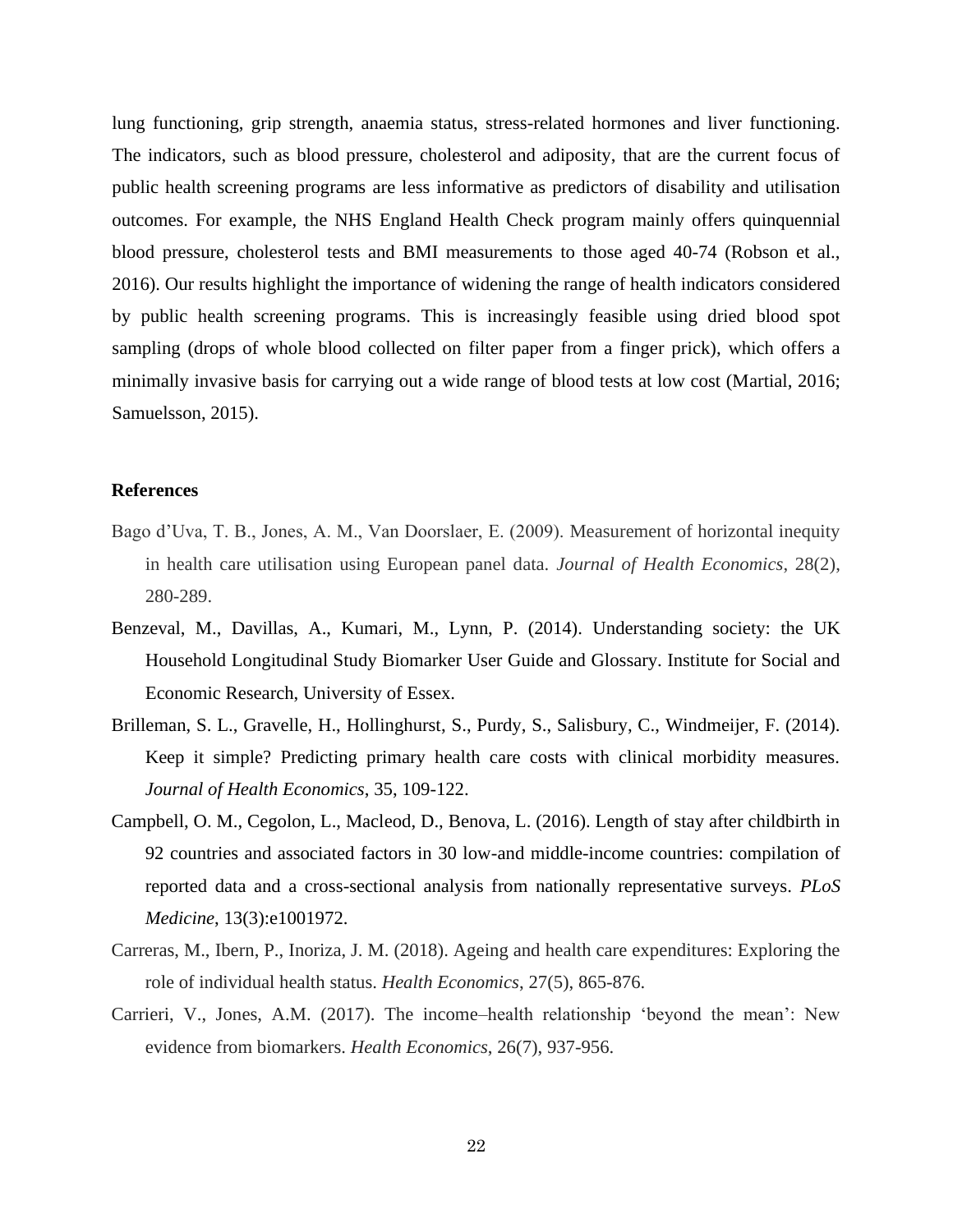lung functioning, grip strength, anaemia status, stress-related hormones and liver functioning. The indicators, such as blood pressure, cholesterol and adiposity, that are the current focus of public health screening programs are less informative as predictors of disability and utilisation outcomes. For example, the NHS England Health Check program mainly offers quinquennial blood pressure, cholesterol tests and BMI measurements to those aged 40-74 (Robson et al., 2016). Our results highlight the importance of widening the range of health indicators considered by public health screening programs. This is increasingly feasible using dried blood spot sampling (drops of whole blood collected on filter paper from a finger prick), which offers a minimally invasive basis for carrying out a wide range of blood tests at low cost (Martial, 2016; Samuelsson, 2015).

### **References**

- Bago d'Uva, T. B., Jones, A. M., Van Doorslaer, E. (2009). Measurement of horizontal inequity in health care utilisation using European panel data. *Journal of Health Economics*, 28(2), 280-289.
- Benzeval, M., Davillas, A., Kumari, M., Lynn, P. (2014). Understanding society: the UK Household Longitudinal Study Biomarker User Guide and Glossary. Institute for Social and Economic Research, University of Essex.
- Brilleman, S. L., Gravelle, H., Hollinghurst, S., Purdy, S., Salisbury, C., Windmeijer, F. (2014). Keep it simple? Predicting primary health care costs with clinical morbidity measures. *Journal of Health Economics*, 35, 109-122.
- Campbell, O. M., Cegolon, L., Macleod, D., Benova, L. (2016). Length of stay after childbirth in 92 countries and associated factors in 30 low-and middle-income countries: compilation of reported data and a cross-sectional analysis from nationally representative surveys. *PLoS Medicine*, 13(3):e1001972.
- Carreras, M., Ibern, P., Inoriza, J. M. (2018). Ageing and health care expenditures: Exploring the role of individual health status. *Health Economics*, 27(5), 865-876.
- Carrieri, V., Jones, A.M. (2017). The income–health relationship 'beyond the mean': New evidence from biomarkers. *Health Economics*, 26(7), 937-956.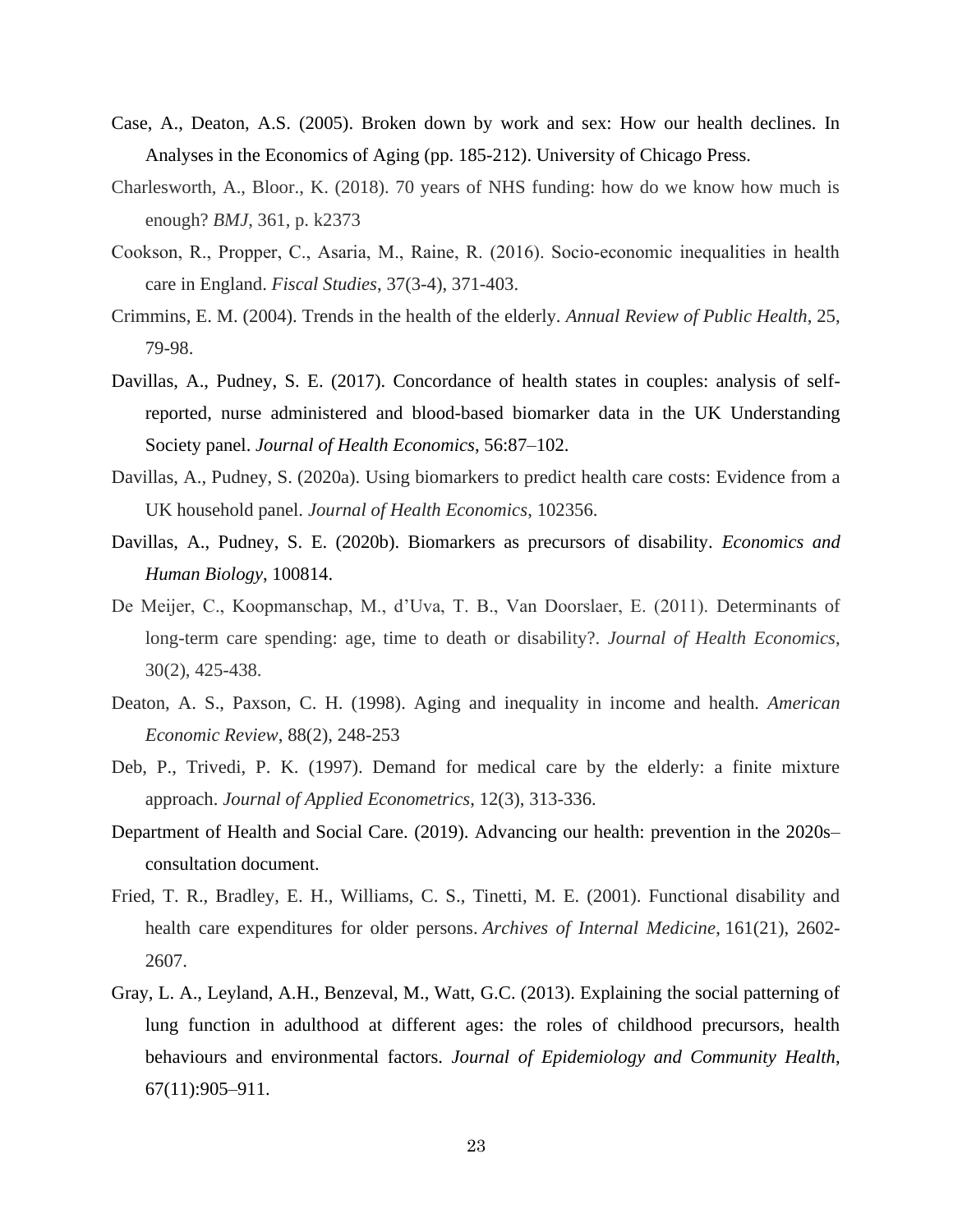- Case, A., Deaton, A.S. (2005). Broken down by work and sex: How our health declines. In Analyses in the Economics of Aging (pp. 185-212). University of Chicago Press.
- Charlesworth, A., Bloor., K. (2018). 70 years of NHS funding: how do we know how much is enough? *BMJ*, 361, p. k2373
- Cookson, R., Propper, C., Asaria, M., Raine, R. (2016). Socio‐economic inequalities in health care in England. *Fiscal Studies*, 37(3-4), 371-403.
- Crimmins, E. M. (2004). Trends in the health of the elderly. *Annual Review of Public Health*, 25, 79-98.
- Davillas, A., Pudney, S. E. (2017). Concordance of health states in couples: analysis of selfreported, nurse administered and blood-based biomarker data in the UK Understanding Society panel. *Journal of Health Economics*, 56:87–102.
- Davillas, A., Pudney, S. (2020a). Using biomarkers to predict health care costs: Evidence from a UK household panel. *Journal of Health Economics*, 102356.
- Davillas, A., Pudney, S. E. (2020b). Biomarkers as precursors of disability. *Economics and Human Biology*, 100814.
- De Meijer, C., Koopmanschap, M., d'Uva, T. B., Van Doorslaer, E. (2011). Determinants of long-term care spending: age, time to death or disability?. *Journal of Health Economics*, 30(2), 425-438.
- Deaton, A. S., Paxson, C. H. (1998). Aging and inequality in income and health. *American Economic Review*, 88(2), 248-253
- Deb, P., Trivedi, P. K. (1997). Demand for medical care by the elderly: a finite mixture approach. *Journal of Applied Econometrics*, 12(3), 313-336.
- Department of Health and Social Care. (2019). Advancing our health: prevention in the 2020s– consultation document.
- Fried, T. R., Bradley, E. H., Williams, C. S., Tinetti, M. E. (2001). Functional disability and health care expenditures for older persons. *Archives of Internal Medicine*, 161(21), 2602- 2607.
- Gray, L. A., Leyland, A.H., Benzeval, M., Watt, G.C. (2013). Explaining the social patterning of lung function in adulthood at different ages: the roles of childhood precursors, health behaviours and environmental factors. *Journal of Epidemiology and Community Health*, 67(11):905–911.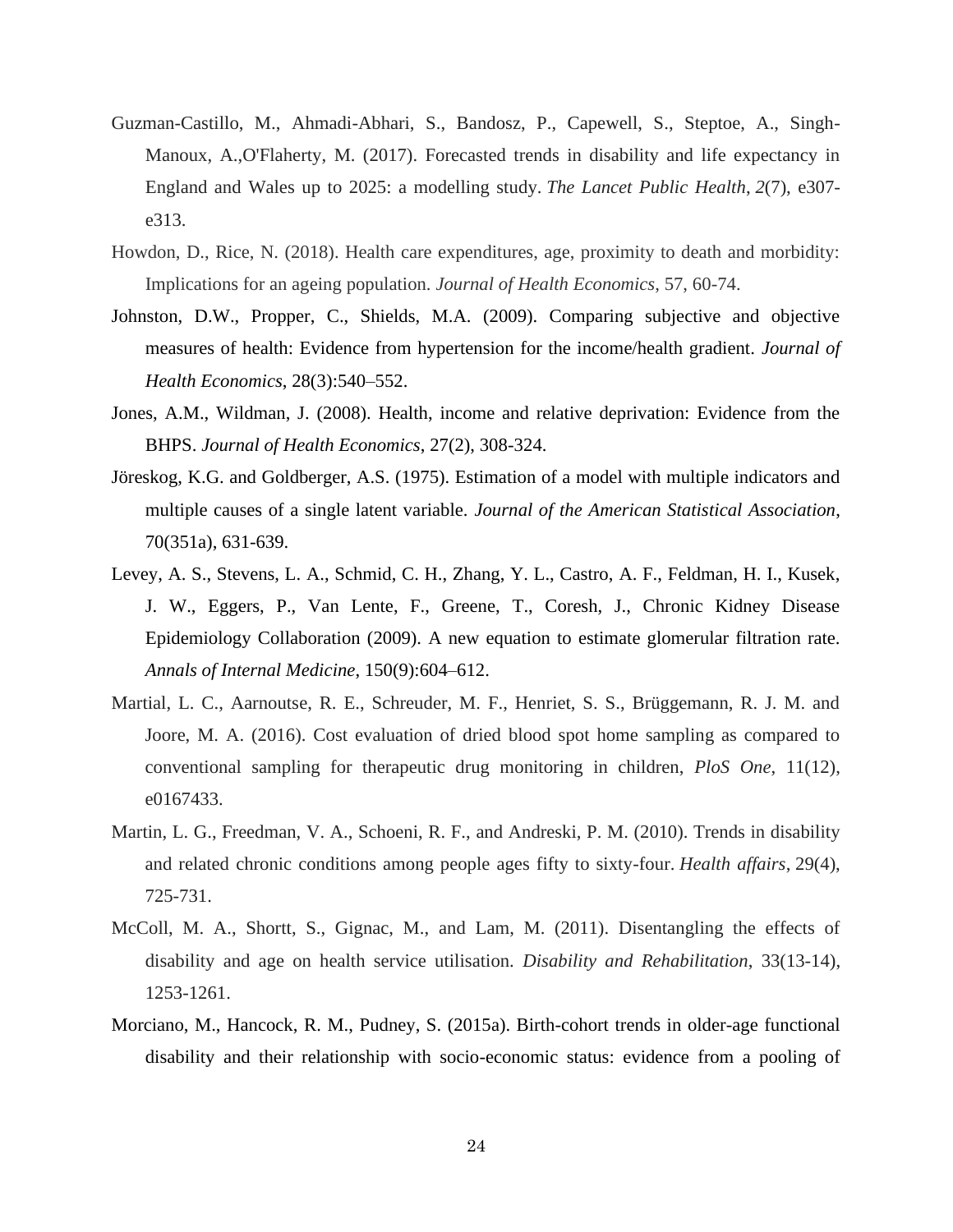- Guzman-Castillo, M., Ahmadi-Abhari, S., Bandosz, P., Capewell, S., Steptoe, A., Singh-Manoux, A.,O'Flaherty, M. (2017). Forecasted trends in disability and life expectancy in England and Wales up to 2025: a modelling study. *The Lancet Public Health*, *2*(7), e307 e313.
- Howdon, D., Rice, N. (2018). Health care expenditures, age, proximity to death and morbidity: Implications for an ageing population. *Journal of Health Economics*, 57, 60-74.
- Johnston, D.W., Propper, C., Shields, M.A. (2009). Comparing subjective and objective measures of health: Evidence from hypertension for the income/health gradient. *Journal of Health Economics*, 28(3):540–552.
- Jones, A.M., Wildman, J. (2008). Health, income and relative deprivation: Evidence from the BHPS. *Journal of Health Economics*, 27(2), 308-324.
- Jöreskog, K.G. and Goldberger, A.S. (1975). Estimation of a model with multiple indicators and multiple causes of a single latent variable. *Journal of the American Statistical Association*, 70(351a), 631-639.
- Levey, A. S., Stevens, L. A., Schmid, C. H., Zhang, Y. L., Castro, A. F., Feldman, H. I., Kusek, J. W., Eggers, P., Van Lente, F., Greene, T., Coresh, J., Chronic Kidney Disease Epidemiology Collaboration (2009). A new equation to estimate glomerular filtration rate. *Annals of Internal Medicine*, 150(9):604–612.
- Martial, L. C., Aarnoutse, R. E., Schreuder, M. F., Henriet, S. S., Brüggemann, R. J. M. and Joore, M. A. (2016). Cost evaluation of dried blood spot home sampling as compared to conventional sampling for therapeutic drug monitoring in children, *PloS One*, 11(12), e0167433.
- Martin, L. G., Freedman, V. A., Schoeni, R. F., and Andreski, P. M. (2010). Trends in disability and related chronic conditions among people ages fifty to sixty-four. *Health affairs*, 29(4), 725-731.
- McColl, M. A., Shortt, S., Gignac, M., and Lam, M. (2011). Disentangling the effects of disability and age on health service utilisation. *Disability and Rehabilitation*, 33(13-14), 1253-1261.
- Morciano, M., Hancock, R. M., Pudney, S. (2015a). Birth-cohort trends in older-age functional disability and their relationship with socio-economic status: evidence from a pooling of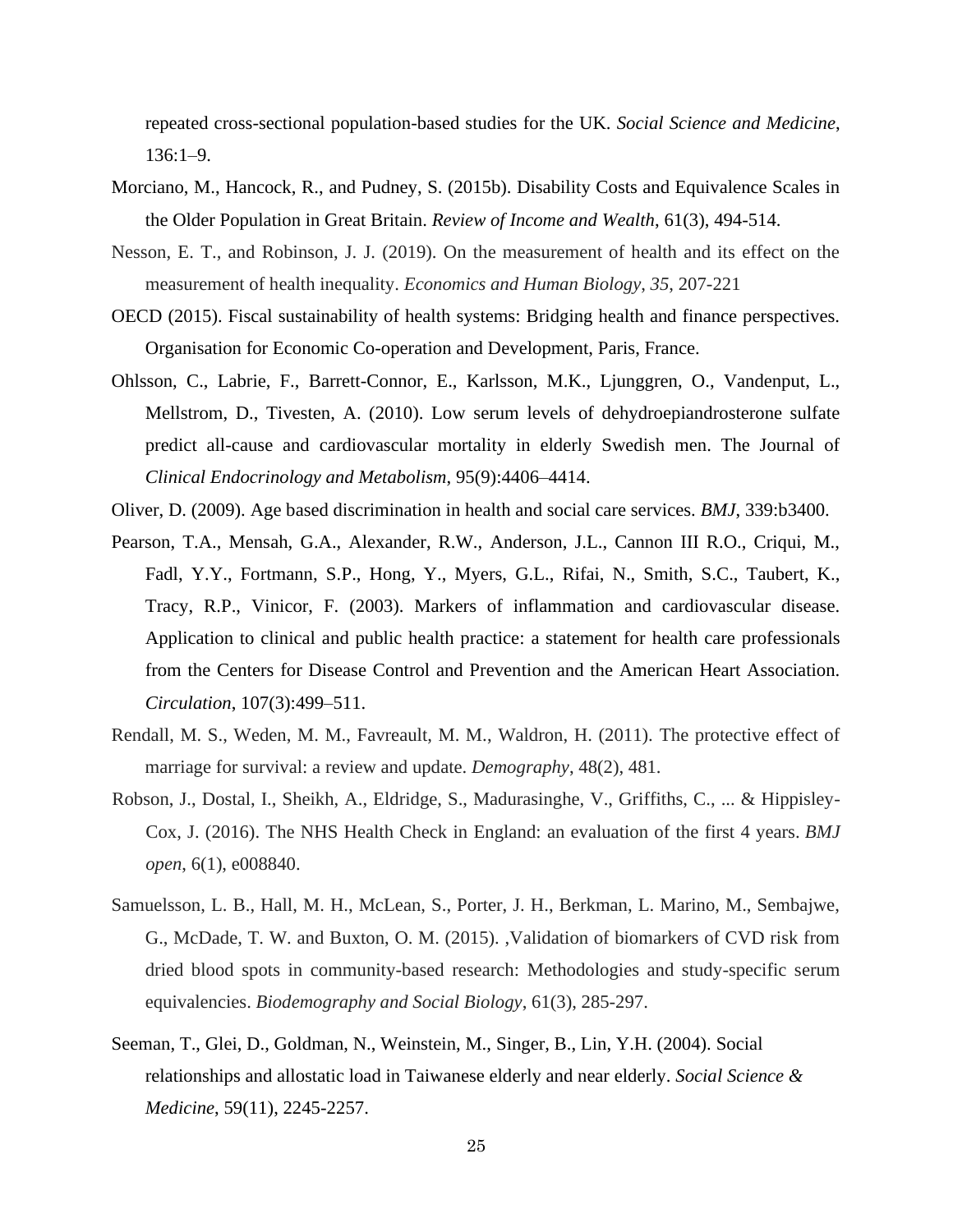repeated cross-sectional population-based studies for the UK. *Social Science and Medicine*, 136:1–9.

- Morciano, M., Hancock, R., and Pudney, S. (2015b). Disability Costs and Equivalence Scales in the Older Population in Great Britain. *Review of Income and Wealth*, 61(3), 494-514.
- Nesson, E. T., and Robinson, J. J. (2019). On the measurement of health and its effect on the measurement of health inequality. *Economics and Human Biology*, *35*, 207-221
- OECD (2015). Fiscal sustainability of health systems: Bridging health and finance perspectives. Organisation for Economic Co-operation and Development, Paris, France.
- Ohlsson, C., Labrie, F., Barrett-Connor, E., Karlsson, M.K., Ljunggren, O., Vandenput, L., Mellstrom, D., Tivesten, A. (2010). Low serum levels of dehydroepiandrosterone sulfate predict all-cause and cardiovascular mortality in elderly Swedish men. The Journal of *Clinical Endocrinology and Metabolism*, 95(9):4406–4414.
- Oliver, D. (2009). Age based discrimination in health and social care services. *BMJ*, 339:b3400.
- Pearson, T.A., Mensah, G.A., Alexander, R.W., Anderson, J.L., Cannon III R.O., Criqui, M., Fadl, Y.Y., Fortmann, S.P., Hong, Y., Myers, G.L., Rifai, N., Smith, S.C., Taubert, K., Tracy, R.P., Vinicor, F. (2003). Markers of inflammation and cardiovascular disease. Application to clinical and public health practice: a statement for health care professionals from the Centers for Disease Control and Prevention and the American Heart Association. *Circulation*, 107(3):499–511.
- Rendall, M. S., Weden, M. M., Favreault, M. M., Waldron, H. (2011). The protective effect of marriage for survival: a review and update. *Demography*, 48(2), 481.
- Robson, J., Dostal, I., Sheikh, A., Eldridge, S., Madurasinghe, V., Griffiths, C., ... & Hippisley-Cox, J. (2016). The NHS Health Check in England: an evaluation of the first 4 years. *BMJ open*, 6(1), e008840.
- Samuelsson, L. B., Hall, M. H., McLean, S., Porter, J. H., Berkman, L. Marino, M., Sembajwe, G., McDade, T. W. and Buxton, O. M. (2015). ,Validation of biomarkers of CVD risk from dried blood spots in community-based research: Methodologies and study-specific serum equivalencies. *Biodemography and Social Biology*, 61(3), 285-297.
- Seeman, T., Glei, D., Goldman, N., Weinstein, M., Singer, B., Lin, Y.H. (2004). Social relationships and allostatic load in Taiwanese elderly and near elderly. *Social Science & Medicine*, 59(11), 2245-2257.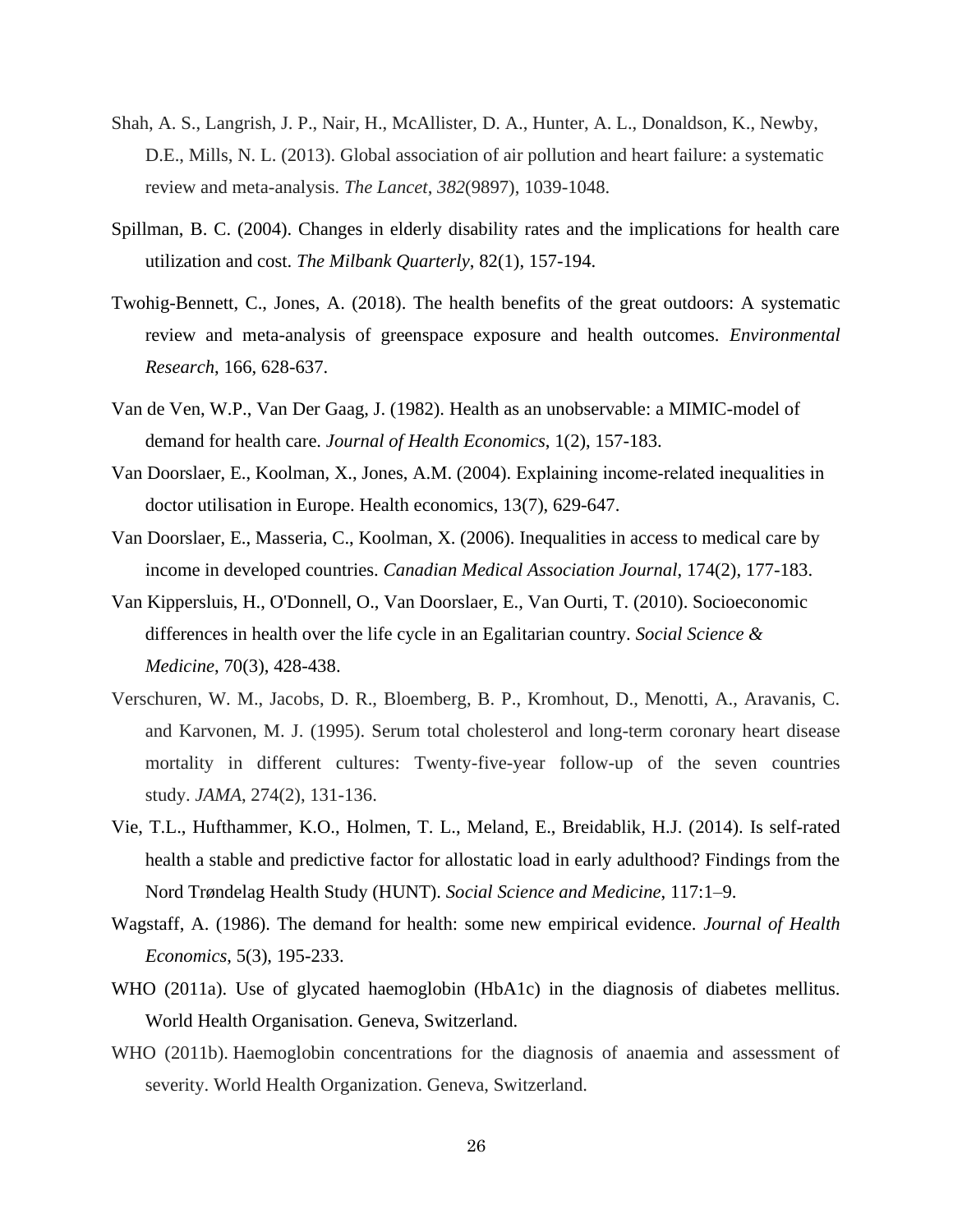- Shah, A. S., Langrish, J. P., Nair, H., McAllister, D. A., Hunter, A. L., Donaldson, K., Newby, D.E., Mills, N. L. (2013). Global association of air pollution and heart failure: a systematic review and meta-analysis. *The Lancet*, *382*(9897), 1039-1048.
- Spillman, B. C. (2004). Changes in elderly disability rates and the implications for health care utilization and cost. *The Milbank Quarterly*, 82(1), 157-194.
- Twohig-Bennett, C., Jones, A. (2018). The health benefits of the great outdoors: A systematic review and meta-analysis of greenspace exposure and health outcomes. *Environmental Research*, 166, 628-637.
- Van de Ven, W.P., Van Der Gaag, J. (1982). Health as an unobservable: a MIMIC-model of demand for health care. *Journal of Health Economics*, 1(2), 157-183.
- Van Doorslaer, E., Koolman, X., Jones, A.M. (2004). Explaining income‐related inequalities in doctor utilisation in Europe. Health economics, 13(7), 629-647.
- Van Doorslaer, E., Masseria, C., Koolman, X. (2006). Inequalities in access to medical care by income in developed countries. *Canadian Medical Association Journal*, 174(2), 177-183.
- Van Kippersluis, H., O'Donnell, O., Van Doorslaer, E., Van Ourti, T. (2010). Socioeconomic differences in health over the life cycle in an Egalitarian country. *Social Science & Medicine*, 70(3), 428-438.
- Verschuren, W. M., Jacobs, D. R., Bloemberg, B. P., Kromhout, D., Menotti, A., Aravanis, C. and Karvonen, M. J. (1995). Serum total cholesterol and long-term coronary heart disease mortality in different cultures: Twenty-five-year follow-up of the seven countries study. *JAMA*, 274(2), 131-136.
- Vie, T.L., Hufthammer, K.O., Holmen, T. L., Meland, E., Breidablik, H.J. (2014). Is self-rated health a stable and predictive factor for allostatic load in early adulthood? Findings from the Nord Trøndelag Health Study (HUNT). *Social Science and Medicine*, 117:1–9.
- Wagstaff, A. (1986). The demand for health: some new empirical evidence. *Journal of Health Economics*, 5(3), 195-233.
- WHO (2011a). Use of glycated haemoglobin (HbA1c) in the diagnosis of diabetes mellitus. World Health Organisation. Geneva, Switzerland.
- WHO (2011b). Haemoglobin concentrations for the diagnosis of anaemia and assessment of severity. World Health Organization. Geneva, Switzerland.